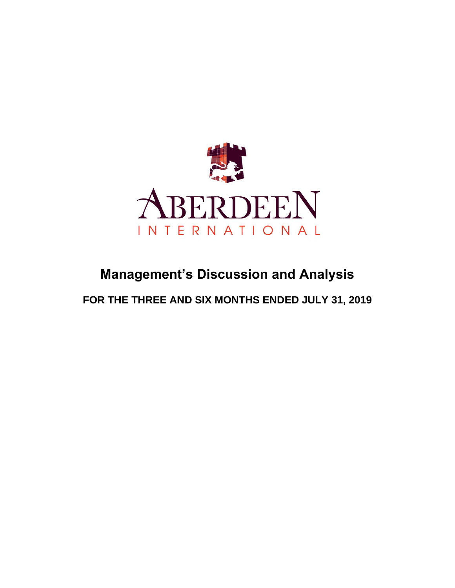

# **Management's Discussion and Analysis**

**FOR THE THREE AND SIX MONTHS ENDED JULY 31, 2019**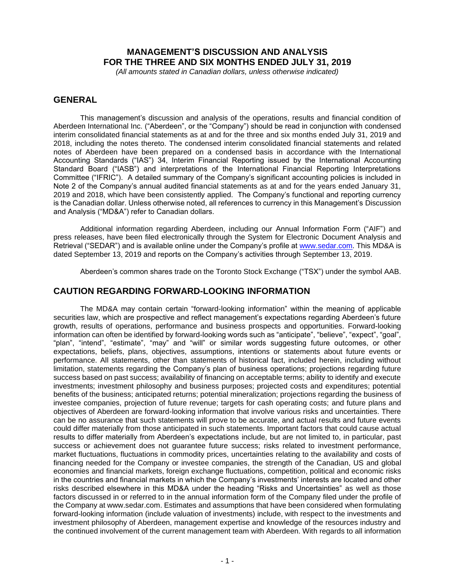# **MANAGEMENT'S DISCUSSION AND ANALYSIS FOR THE THREE AND SIX MONTHS ENDED JULY 31, 2019**

*(All amounts stated in Canadian dollars, unless otherwise indicated)*

# **GENERAL**

This management's discussion and analysis of the operations, results and financial condition of Aberdeen International Inc. ("Aberdeen", or the "Company") should be read in conjunction with condensed interim consolidated financial statements as at and for the three and six months ended July 31, 2019 and 2018, including the notes thereto. The condensed interim consolidated financial statements and related notes of Aberdeen have been prepared on a condensed basis in accordance with the International Accounting Standards ("IAS") 34, Interim Financial Reporting issued by the International Accounting Standard Board ("IASB") and interpretations of the International Financial Reporting Interpretations Committee ("IFRIC"). A detailed summary of the Company's significant accounting policies is included in Note 2 of the Company's annual audited financial statements as at and for the years ended January 31, 2019 and 2018, which have been consistently applied. The Company's functional and reporting currency is the Canadian dollar. Unless otherwise noted, all references to currency in this Management's Discussion and Analysis ("MD&A") refer to Canadian dollars.

Additional information regarding Aberdeen, including our Annual Information Form ("AIF") and press releases, have been filed electronically through the System for Electronic Document Analysis and Retrieval ("SEDAR") and is available online under the Company's profile at [www.sedar.com.](http://www.sedar.com/) This MD&A is dated September 13, 2019 and reports on the Company's activities through September 13, 2019.

Aberdeen's common shares trade on the Toronto Stock Exchange ("TSX") under the symbol AAB.

# **CAUTION REGARDING FORWARD-LOOKING INFORMATION**

The MD&A may contain certain "forward-looking information" within the meaning of applicable securities law, which are prospective and reflect management's expectations regarding Aberdeen's future growth, results of operations, performance and business prospects and opportunities. Forward-looking information can often be identified by forward-looking words such as "anticipate", "believe", "expect", "goal", "plan", "intend", "estimate", "may" and "will" or similar words suggesting future outcomes, or other expectations, beliefs, plans, objectives, assumptions, intentions or statements about future events or performance. All statements, other than statements of historical fact, included herein, including without limitation, statements regarding the Company's plan of business operations; projections regarding future success based on past success; availability of financing on acceptable terms; ability to identify and execute investments; investment philosophy and business purposes; projected costs and expenditures; potential benefits of the business; anticipated returns; potential mineralization; projections regarding the business of investee companies, projection of future revenue; targets for cash operating costs; and future plans and objectives of Aberdeen are forward-looking information that involve various risks and uncertainties. There can be no assurance that such statements will prove to be accurate, and actual results and future events could differ materially from those anticipated in such statements. Important factors that could cause actual results to differ materially from Aberdeen's expectations include, but are not limited to, in particular, past success or achievement does not guarantee future success; risks related to investment performance, market fluctuations, fluctuations in commodity prices, uncertainties relating to the availability and costs of financing needed for the Company or investee companies, the strength of the Canadian, US and global economies and financial markets, foreign exchange fluctuations, competition, political and economic risks in the countries and financial markets in which the Company's investments' interests are located and other risks described elsewhere in this MD&A under the heading "Risks and Uncertainties" as well as those factors discussed in or referred to in the annual information form of the Company filed under the profile of the Company at www.sedar.com. Estimates and assumptions that have been considered when formulating forward-looking information (include valuation of investments) include, with respect to the investments and investment philosophy of Aberdeen, management expertise and knowledge of the resources industry and the continued involvement of the current management team with Aberdeen. With regards to all information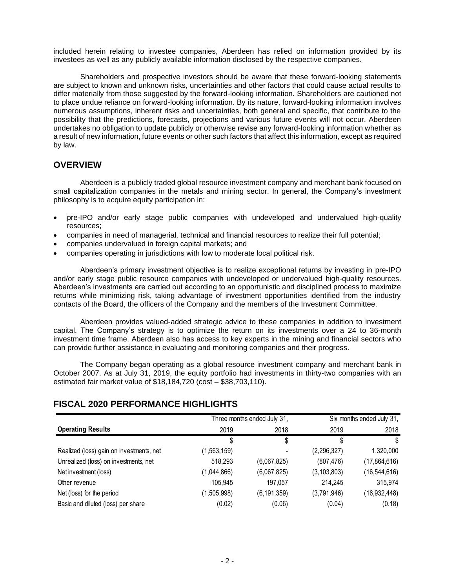included herein relating to investee companies, Aberdeen has relied on information provided by its investees as well as any publicly available information disclosed by the respective companies.

Shareholders and prospective investors should be aware that these forward-looking statements are subject to known and unknown risks, uncertainties and other factors that could cause actual results to differ materially from those suggested by the forward-looking information. Shareholders are cautioned not to place undue reliance on forward-looking information. By its nature, forward-looking information involves numerous assumptions, inherent risks and uncertainties, both general and specific, that contribute to the possibility that the predictions, forecasts, projections and various future events will not occur. Aberdeen undertakes no obligation to update publicly or otherwise revise any forward-looking information whether as a result of new information, future events or other such factors that affect this information, except as required by law.

# **OVERVIEW**

Aberdeen is a publicly traded global resource investment company and merchant bank focused on small capitalization companies in the metals and mining sector. In general, the Company's investment philosophy is to acquire equity participation in:

- pre-IPO and/or early stage public companies with undeveloped and undervalued high-quality resources;
- companies in need of managerial, technical and financial resources to realize their full potential;
- companies undervalued in foreign capital markets; and
- companies operating in jurisdictions with low to moderate local political risk.

Aberdeen's primary investment objective is to realize exceptional returns by investing in pre-IPO and/or early stage public resource companies with undeveloped or undervalued high-quality resources. Aberdeen's investments are carried out according to an opportunistic and disciplined process to maximize returns while minimizing risk, taking advantage of investment opportunities identified from the industry contacts of the Board, the officers of the Company and the members of the Investment Committee.

Aberdeen provides valued-added strategic advice to these companies in addition to investment capital. The Company's strategy is to optimize the return on its investments over a 24 to 36-month investment time frame. Aberdeen also has access to key experts in the mining and financial sectors who can provide further assistance in evaluating and monitoring companies and their progress.

The Company began operating as a global resource investment company and merchant bank in October 2007. As at July 31, 2019, the equity portfolio had investments in thirty-two companies with an estimated fair market value of \$18,184,720 (cost – \$38,703,110).

|                                          |               | Three months ended July 31, | Six months ended July 31, |                |  |
|------------------------------------------|---------------|-----------------------------|---------------------------|----------------|--|
| <b>Operating Results</b>                 | 2019          | 2018                        | 2019                      | 2018           |  |
|                                          |               | \$                          | \$                        |                |  |
| Realized (loss) gain on investments, net | (1, 563, 159) |                             | (2, 296, 327)             | 1,320,000      |  |
| Unrealized (loss) on investments, net    | 518,293       | (6,067,825)                 | (807, 476)                | (17,864,616)   |  |
| Net investment (loss)                    | (1,044,866)   | (6,067,825)                 | (3, 103, 803)             | (16, 544, 616) |  |
| Other revenue                            | 105,945       | 197,057                     | 214,245                   | 315,974        |  |
| Net (loss) for the period                | (1,505,998)   | (6, 191, 359)               | (3,791,946)               | (16,932,448)   |  |
| Basic and diluted (loss) per share       | (0.02)        | (0.06)                      | (0.04)                    | (0.18)         |  |

# **FISCAL 2020 PERFORMANCE HIGHLIGHTS**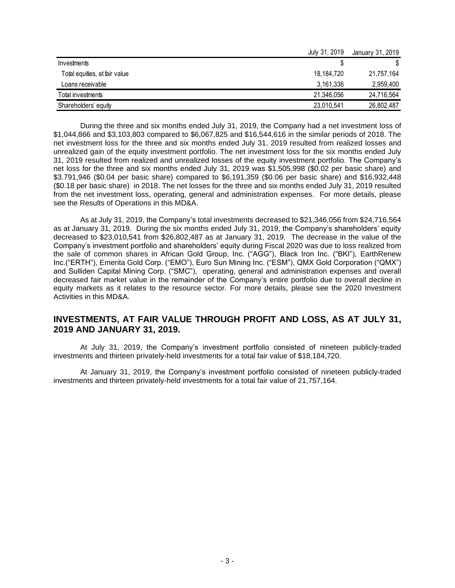|                               | July 31, 2019 | January 31, 2019 |
|-------------------------------|---------------|------------------|
| Investments                   | \$            |                  |
| Total equities, at fair value | 18,184,720    | 21,757,164       |
| Loans receivable              | 3,161,336     | 2,959,400        |
| Total investments             | 21,346,056    | 24,716,564       |
| Shareholders' equity          | 23,010,541    | 26,802,487       |

During the three and six months ended July 31, 2019, the Company had a net investment loss of \$1,044,866 and \$3,103,803 compared to \$6,067,825 and \$16,544,616 in the similar periods of 2018. The net investment loss for the three and six months ended July 31, 2019 resulted from realized losses and unrealized gain of the equity investment portfolio. The net investment loss for the six months ended July 31, 2019 resulted from realized and unrealized losses of the equity investment portfolio. The Company's net loss for the three and six months ended July 31, 2019 was \$1,505,998 (\$0.02 per basic share) and \$3.791,946 (\$0.04 per basic share) compared to \$6,191,359 (\$0.06 per basic share) and \$16,932,448 (\$0.18 per basic share) in 2018. The net losses for the three and six months ended July 31, 2019 resulted from the net investment loss, operating, general and administration expenses. For more details, please see the Results of Operations in this MD&A.

As at July 31, 2019, the Company's total investments decreased to \$21,346,056 from \$24,716,564 as at January 31, 2019. During the six months ended July 31, 2019, the Company's shareholders' equity decreased to \$23,010,541 from \$26,802,487 as at January 31, 2019. The decrease in the value of the Company's investment portfolio and shareholders' equity during Fiscal 2020 was due to loss realized from the sale of common shares in African Gold Group, Inc. ("AGG"), Black Iron Inc. ("BKI"), EarthRenew Inc.("ERTH"), Emerita Gold Corp. ("EMO"), Euro Sun Mining Inc. ("ESM"), QMX Gold Corporation ("QMX") and Sulliden Capital Mining Corp. ("SMC"), operating, general and administration expenses and overall decreased fair market value in the remainder of the Company's entire portfolio due to overall decline in equity markets as it relates to the resource sector. For more details, please see the 2020 Investment Activities in this MD&A.

# **INVESTMENTS, AT FAIR VALUE THROUGH PROFIT AND LOSS, AS AT JULY 31, 2019 AND JANUARY 31, 2019.**

At July 31, 2019, the Company's investment portfolio consisted of nineteen publicly-traded investments and thirteen privately-held investments for a total fair value of \$18,184,720.

At January 31, 2019, the Company's investment portfolio consisted of nineteen publicly-traded investments and thirteen privately-held investments for a total fair value of 21,757,164.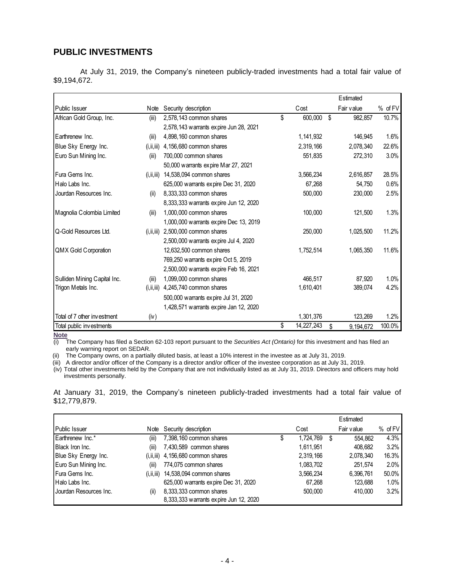# **PUBLIC INVESTMENTS**

At July 31, 2019, the Company's nineteen publicly-traded investments had a total fair value of \$9,194,672.

|                              |              |                                        |                  | Estimated       |         |
|------------------------------|--------------|----------------------------------------|------------------|-----------------|---------|
| Public Issuer                |              | Note Security description              | Cost             | Fair value      | % of FV |
| African Gold Group, Inc.     | (iii)        | 2,578,143 common shares                | \$<br>600,000    | \$<br>982,857   | 10.7%   |
|                              |              | 2,578,143 warrants expire Jun 28, 2021 |                  |                 |         |
| Earthrenew Inc.              | (iii)        | 4,898,160 common shares                | 1,141,932        | 146,945         | 1.6%    |
| Blue Sky Energy Inc.         | (i, ii, iii) | 4,156,680 common shares                | 2,319,166        | 2,078,340       | 22.6%   |
| Euro Sun Mining Inc.         | (iii)        | 700,000 common shares                  | 551,835          | 272,310         | 3.0%    |
|                              |              | 50,000 warrants expire Mar 27, 2021    |                  |                 |         |
| Fura Gems Inc.               | (i, ii, iii) | 14,538,094 common shares               | 3,566,234        | 2,616,857       | 28.5%   |
| Halo Labs Inc.               |              | 625,000 warrants expire Dec 31, 2020   | 67,268           | 54,750          | 0.6%    |
| Jourdan Resources Inc.       | (ii)         | 8,333,333 common shares                | 500,000          | 230,000         | 2.5%    |
|                              |              | 8,333,333 warrants expire Jun 12, 2020 |                  |                 |         |
| Magnolia Colombia Limited    | (iii)        | 1,000,000 common shares                | 100,000          | 121,500         | 1.3%    |
|                              |              | 1,000,000 warrants expire Dec 13, 2019 |                  |                 |         |
| Q-Gold Resources Ltd.        | (i, ii, iii) | 2,500,000 common shares                | 250,000          | 1,025,500       | 11.2%   |
|                              |              | 2,500,000 warrants expire Jul 4, 2020  |                  |                 |         |
| QMX Gold Corporation         |              | 12,632,500 common shares               | 1,752,514        | 1,065,350       | 11.6%   |
|                              |              | 769,250 warrants expire Oct 5, 2019    |                  |                 |         |
|                              |              | 2,500,000 warrants expire Feb 16, 2021 |                  |                 |         |
| Sulliden Mining Capital Inc. | (iii)        | 1,099,000 common shares                | 466,517          | 87,920          | 1.0%    |
| Trigon Metals Inc.           | (i, ii, iii) | 4,245,740 common shares                | 1,610,401        | 389,074         | 4.2%    |
|                              |              | 500,000 warrants expire Jul 31, 2020   |                  |                 |         |
|                              |              | 1,428,571 warrants expire Jan 12, 2020 |                  |                 |         |
| Total of 7 other investment  | (iv)         |                                        | 1,301,376        | 123,269         | 1.2%    |
| Total public investments     |              |                                        | \$<br>14,227,243 | \$<br>9.194.672 | 100.0%  |

**Note**

(i) The Company has filed a Section 62-103 report pursuant to the *Securities Act (Ontario)* for this investment and has filed an early warning report on SEDAR.

(ii) The Company owns, on a partially diluted basis, at least a 10% interest in the investee as at July 31, 2019.

(iii) A director and/or officer of the Company is a director and/or officer of the investee corporation as at July 31, 2019.

(iv) Total other investments held by the Company that are not individually listed as at July 31, 2019. Directors and officers may hold investments personally.

At January 31, 2019, the Company's nineteen publicly-traded investments had a total fair value of \$12,779,879.

| \$12,779,879.          |              |                                         |           |   |            |           |
|------------------------|--------------|-----------------------------------------|-----------|---|------------|-----------|
|                        |              |                                         |           |   | Estimated  |           |
| Public Issuer          | <b>N</b> ote | Security description                    | Cost      |   | Fair value | $%$ of FV |
| Earthrenew Inc.*       | (iii)        | 7,398,160 common shares                 | 1,724,769 | S | 554.862    | 4.3%      |
| Black Iron Inc.        | (iii)        | 7,430,589 common shares                 | 1,611,951 |   | 408,682    | 3.2%      |
| Blue Sky Energy Inc.   |              | $(i, ii, iii)$ 4,156,680 common shares  | 2,319,166 |   | 2,078,340  | 16.3%     |
| Euro Sun Mining Inc.   | (iii)        | 774,075 common shares                   | 1,083,702 |   | 251,574    | $2.0\%$   |
| Fura Gems Inc.         | (i, ii, iii) | 14,538,094 common shares                | 3,566,234 |   | 6,396,761  | 50.0%     |
| Halo Labs Inc.         |              | 625,000 warrants expire Dec 31, 2020    | 67,268    |   | 123,688    | 1.0%      |
| Jourdan Resources Inc. | (ii)         | 8,333,333 common shares                 | 500,000   |   | 410.000    | $3.2\%$   |
|                        |              | 8,333,333 w arrants expire Jun 12, 2020 |           |   |            |           |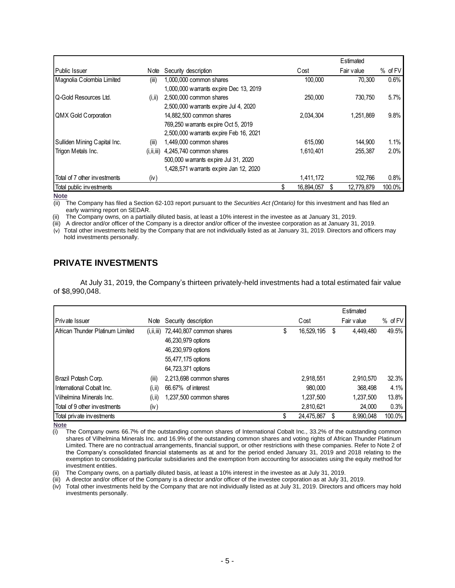|                              |              |                                        |                  | Estimated  |         |
|------------------------------|--------------|----------------------------------------|------------------|------------|---------|
| Public Issuer                | <b>N</b> ote | Security description                   | Cost             | Fair value | % of FV |
| Magnolia Colombia Limited    | (iii)        | 1,000,000 common shares                | 100,000          | 70,300     | 0.6%    |
|                              |              | 1,000,000 warrants expire Dec 13, 2019 |                  |            |         |
| Q-Gold Resources Ltd.        | (i, ii)      | 2,500,000 common shares                | 250,000          | 730.750    | $5.7\%$ |
|                              |              | 2,500,000 warrants expire Jul 4, 2020  |                  |            |         |
| <b>QMX Gold Corporation</b>  |              | 14,882,500 common shares               | 2.034.304        | 1,251,869  | 9.8%    |
|                              |              | 769,250 warrants expire Oct 5, 2019    |                  |            |         |
|                              |              | 2,500,000 warrants expire Feb 16, 2021 |                  |            |         |
| Sulliden Mining Capital Inc. | (iii)        | 1,449,000 common shares                | 615,090          | 144,900    | 1.1%    |
| Trigon Metals Inc.           | (i, ii, iii) | 4,245,740 common shares                | 1,610,401        | 255,387    | 2.0%    |
|                              |              | 500,000 warrants expire Jul 31, 2020   |                  |            |         |
|                              |              | 1,428,571 warrants expire Jan 12, 2020 |                  |            |         |
| Total of 7 other investments | (iv)         |                                        | 1,411,172        | 102,766    | 0.8%    |
| Total public investments     |              |                                        | 16,894,057<br>\$ | 12,779,879 | 100.0%  |

**Note**

(ii) The Company has filed a Section 62-103 report pursuant to the *Securities Act (Ontario)* for this investment and has filed an early warning report on SEDAR.

(ii) The Company owns, on a partially diluted basis, at least a 10% interest in the investee as at January 31, 2019.

(iii) A director and/or officer of the Company is a director and/or officer of the investee corporation as at January 31, 2019.

(v) Total other investments held by the Company that are not individually listed as at January 31, 2019. Directors and officers may hold investments personally.

# **PRIVATE INVESTMENTS**

At July 31, 2019, the Company's thirteen privately-held investments had a total estimated fair value of \$8,990,048.

| of \$8,990,048.                  |              |                          |                  |   |            |           |
|----------------------------------|--------------|--------------------------|------------------|---|------------|-----------|
|                                  |              |                          |                  |   | Estimated  |           |
| Private Issuer                   | Note         | Security description     | Cost             |   | Fair value | $%$ of FV |
| African Thunder Platinum Limited | (i, ii, iii) | 72,440,807 common shares | \$<br>16,529,195 | S | 4.449.480  | 49.5%     |
|                                  |              | 46,230,979 options       |                  |   |            |           |
|                                  |              | 46,230,979 options       |                  |   |            |           |
|                                  |              | 55,477,175 options       |                  |   |            |           |
|                                  |              | 64,723,371 options       |                  |   |            |           |
| Brazil Potash Corp.              | (iii)        | 2,213,698 common shares  | 2,918,551        |   | 2,910,570  | 32.3%     |
| International Cobalt Inc.        | (i, ii)      | 66.67% of interest       | 980,000          |   | 368.498    | 4.1%      |
| Vilhelmina Minerals Inc.         | (i, ii)      | 1,237,500 common shares  | 1.237.500        |   | 1.237.500  | 13.8%     |
| Total of 9 other investments     | (iv)         |                          | 2,810,621        |   | 24,000     | 0.3%      |
| Total private investments        |              |                          | 24,475,867       | S | 8,990,048  | 100.0%    |

**Note**

 $(i)$  The Company owns 66.7% of the outstanding common shares of International Cobalt Inc., 33.2% of the outstanding common shares of Vilhelmina Minerals Inc. and 16.9% of the outstanding common shares and voting rights of African Thunder Platinum Limited. There are no contractual arrangements, financial support, or other restrictions with these companies. Refer to Note 2 of the Company's consolidated financial statements as at and for the period ended January 31, 2019 and 2018 relating to the exemption to consolidating particular subsidiaries and the exemption from accounting for associates using the equity method for investment entities.

(ii) The Company owns, on a partially diluted basis, at least a 10% interest in the investee as at July 31, 2019.

(iii) A director and/or officer of the Company is a director and/or officer of the investee corporation as at July 31, 2019.

(iv) Total other investments held by the Company that are not individually listed as at July 31, 2019. Directors and officers may hold investments personally.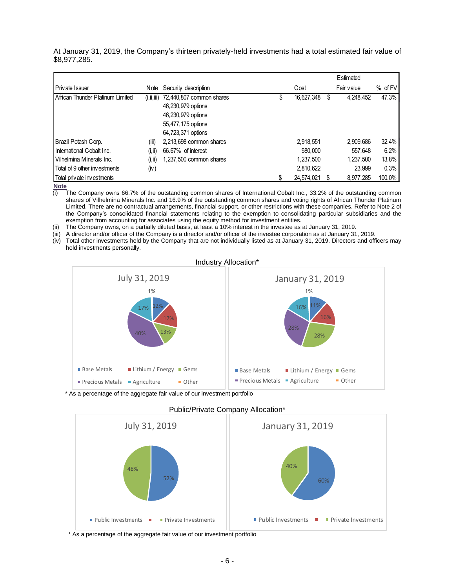At January 31, 2019, the Company's thirteen privately-held investments had a total estimated fair value of \$8,977,285.

| \$8,977,285.                     |              |                          |                  |                 |         |
|----------------------------------|--------------|--------------------------|------------------|-----------------|---------|
|                                  |              |                          |                  | Estimated       |         |
| Private Issuer                   | Note         | Security description     | Cost             | Fair value      | % of FV |
| African Thunder Platinum Limited | (i, ii, iii) | 72,440,807 common shares | \$<br>16,627,348 | \$<br>4.248.452 | 47.3%   |
|                                  |              | 46,230,979 options       |                  |                 |         |
|                                  |              | 46,230,979 options       |                  |                 |         |
|                                  |              | 55,477,175 options       |                  |                 |         |
|                                  |              | 64,723,371 options       |                  |                 |         |
| Brazil Potash Corp.              | (iii)        | 2,213,698 common shares  | 2,918,551        | 2,909,686       | 32.4%   |
| International Cobalt Inc.        | (i, ii)      | 66.67% of interest       | 980.000          | 557.648         | 6.2%    |
| Vilhelmina Minerals Inc.         | (i, ii)      | 1,237,500 common shares  | 1.237.500        | 1,237,500       | 13.8%   |
| Total of 9 other investments     | (iv)         |                          | 2,810,622        | 23.999          | 0.3%    |
| Total private investments        |              |                          | 24,574,021       | 8.977.285       | 100.0%  |

**Note**<br>(i)

The Company owns 66.7% of the outstanding common shares of International Cobalt Inc., 33.2% of the outstanding common shares of Vilhelmina Minerals Inc. and 16.9% of the outstanding common shares and voting rights of African Thunder Platinum Limited. There are no contractual arrangements, financial support, or other restrictions with these companies. Refer to Note 2 of the Company's consolidated financial statements relating to the exemption to consolidating particular subsidiaries and the exemption from accounting for associates using the equity method for investment entities.

(ii) The Company owns, on a partially diluted basis, at least a 10% interest in the investee as at January 31, 2019.

(iii) A director and/or officer of the Company is a director and/or officer of the investee corporation as at January 31, 2019.

(iv) Total other investments held by the Company that are not individually listed as at January 31, 2019. Directors and officers may hold investments personally.



\* As a percentage of the aggregate fair value of our investment portfolio



#### Public/Private Company Allocation\*

\* As a percentage of the aggregate fair value of our investment portfolio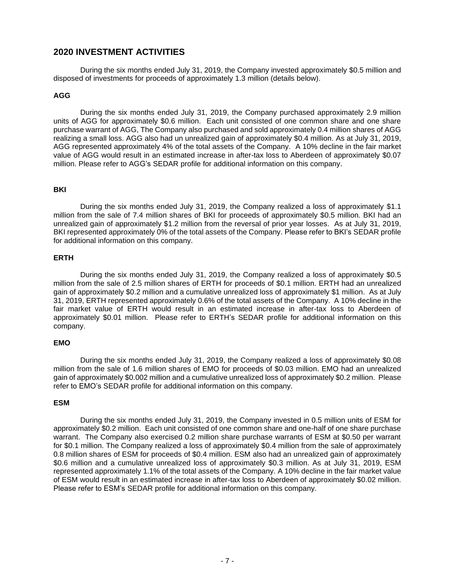# **2020 INVESTMENT ACTIVITIES**

During the six months ended July 31, 2019, the Company invested approximately \$0.5 million and disposed of investments for proceeds of approximately 1.3 million (details below).

# **AGG**

During the six months ended July 31, 2019, the Company purchased approximately 2.9 million units of AGG for approximately \$0.6 million. Each unit consisted of one common share and one share purchase warrant of AGG, The Company also purchased and sold approximately 0.4 million shares of AGG realizing a small loss. AGG also had un unrealized gain of approximately \$0.4 million. As at July 31, 2019, AGG represented approximately 4% of the total assets of the Company. A 10% decline in the fair market value of AGG would result in an estimated increase in after-tax loss to Aberdeen of approximately \$0.07 million. Please refer to AGG's SEDAR profile for additional information on this company.

### **BKI**

During the six months ended July 31, 2019, the Company realized a loss of approximately \$1.1 million from the sale of 7.4 million shares of BKI for proceeds of approximately \$0.5 million. BKI had an unrealized gain of approximately \$1.2 million from the reversal of prior year losses. As at July 31, 2019, BKI represented approximately 0% of the total assets of the Company. Please refer to BKI's SEDAR profile for additional information on this company.

### **ERTH**

During the six months ended July 31, 2019, the Company realized a loss of approximately \$0.5 million from the sale of 2.5 million shares of ERTH for proceeds of \$0.1 million. ERTH had an unrealized gain of approximately \$0.2 million and a cumulative unrealized loss of approximately \$1 million. As at July 31, 2019, ERTH represented approximately 0.6% of the total assets of the Company. A 10% decline in the fair market value of ERTH would result in an estimated increase in after-tax loss to Aberdeen of approximately \$0.01 million. Please refer to ERTH's SEDAR profile for additional information on this company.

### **EMO**

During the six months ended July 31, 2019, the Company realized a loss of approximately \$0.08 million from the sale of 1.6 million shares of EMO for proceeds of \$0.03 million. EMO had an unrealized gain of approximately \$0.002 million and a cumulative unrealized loss of approximately \$0.2 million. Please refer to EMO's SEDAR profile for additional information on this company.

### **ESM**

During the six months ended July 31, 2019, the Company invested in 0.5 million units of ESM for approximately \$0.2 million. Each unit consisted of one common share and one-half of one share purchase warrant. The Company also exercised 0.2 million share purchase warrants of ESM at \$0.50 per warrant for \$0.1 million. The Company realized a loss of approximately \$0.4 million from the sale of approximately 0.8 million shares of ESM for proceeds of \$0.4 million. ESM also had an unrealized gain of approximately \$0.6 million and a cumulative unrealized loss of approximately \$0.3 million. As at July 31, 2019, ESM represented approximately 1.1% of the total assets of the Company. A 10% decline in the fair market value of ESM would result in an estimated increase in after-tax loss to Aberdeen of approximately \$0.02 million. Please refer to ESM's SEDAR profile for additional information on this company.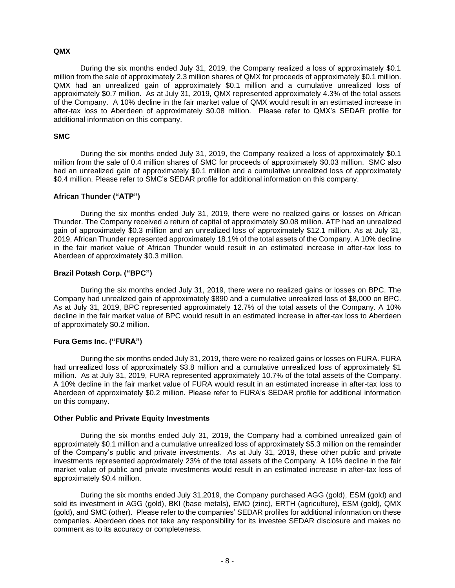#### **QMX**

During the six months ended July 31, 2019, the Company realized a loss of approximately \$0.1 million from the sale of approximately 2.3 million shares of QMX for proceeds of approximately \$0.1 million. QMX had an unrealized gain of approximately \$0.1 million and a cumulative unrealized loss of approximately \$0.7 million. As at July 31, 2019, QMX represented approximately 4.3% of the total assets of the Company. A 10% decline in the fair market value of QMX would result in an estimated increase in after-tax loss to Aberdeen of approximately \$0.08 million. Please refer to QMX's SEDAR profile for additional information on this company.

#### **SMC**

During the six months ended July 31, 2019, the Company realized a loss of approximately \$0.1 million from the sale of 0.4 million shares of SMC for proceeds of approximately \$0.03 million. SMC also had an unrealized gain of approximately \$0.1 million and a cumulative unrealized loss of approximately \$0.4 million. Please refer to SMC's SEDAR profile for additional information on this company.

#### **African Thunder ("ATP")**

During the six months ended July 31, 2019, there were no realized gains or losses on African Thunder. The Company received a return of capital of approximately \$0.08 million. ATP had an unrealized gain of approximately \$0.3 million and an unrealized loss of approximately \$12.1 million. As at July 31, 2019, African Thunder represented approximately 18.1% of the total assets of the Company. A 10% decline in the fair market value of African Thunder would result in an estimated increase in after-tax loss to Aberdeen of approximately \$0.3 million.

## **Brazil Potash Corp. ("BPC")**

During the six months ended July 31, 2019, there were no realized gains or losses on BPC. The Company had unrealized gain of approximately \$890 and a cumulative unrealized loss of \$8,000 on BPC. As at July 31, 2019, BPC represented approximately 12.7% of the total assets of the Company. A 10% decline in the fair market value of BPC would result in an estimated increase in after-tax loss to Aberdeen of approximately \$0.2 million.

### **Fura Gems Inc. ("FURA")**

During the six months ended July 31, 2019, there were no realized gains or losses on FURA. FURA had unrealized loss of approximately \$3.8 million and a cumulative unrealized loss of approximately \$1 million. As at July 31, 2019, FURA represented approximately 10.7% of the total assets of the Company. A 10% decline in the fair market value of FURA would result in an estimated increase in after-tax loss to Aberdeen of approximately \$0.2 million. Please refer to FURA's SEDAR profile for additional information on this company.

#### **Other Public and Private Equity Investments**

During the six months ended July 31, 2019, the Company had a combined unrealized gain of approximately \$0.1 million and a cumulative unrealized loss of approximately \$5.3 million on the remainder of the Company's public and private investments. As at July 31, 2019, these other public and private investments represented approximately 23% of the total assets of the Company. A 10% decline in the fair market value of public and private investments would result in an estimated increase in after-tax loss of approximately \$0.4 million.

During the six months ended July 31,2019, the Company purchased AGG (gold), ESM (gold) and sold its investment in AGG (gold), BKI (base metals), EMO (zinc), ERTH (agriculture), ESM (gold), QMX (gold), and SMC (other). Please refer to the companies' SEDAR profiles for additional information on these companies. Aberdeen does not take any responsibility for its investee SEDAR disclosure and makes no comment as to its accuracy or completeness.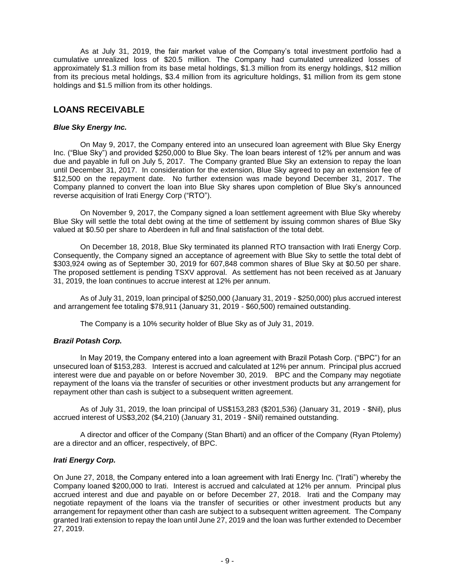As at July 31, 2019, the fair market value of the Company's total investment portfolio had a cumulative unrealized loss of \$20.5 million. The Company had cumulated unrealized losses of approximately \$1.3 million from its base metal holdings, \$1.3 million from its energy holdings, \$12 million from its precious metal holdings, \$3.4 million from its agriculture holdings, \$1 million from its gem stone holdings and \$1.5 million from its other holdings.

# **LOANS RECEIVABLE**

## *Blue Sky Energy Inc.*

On May 9, 2017, the Company entered into an unsecured loan agreement with Blue Sky Energy Inc. ("Blue Sky") and provided \$250,000 to Blue Sky. The loan bears interest of 12% per annum and was due and payable in full on July 5, 2017. The Company granted Blue Sky an extension to repay the loan until December 31, 2017. In consideration for the extension, Blue Sky agreed to pay an extension fee of \$12,500 on the repayment date. No further extension was made beyond December 31, 2017. The Company planned to convert the loan into Blue Sky shares upon completion of Blue Sky's announced reverse acquisition of Irati Energy Corp ("RTO").

On November 9, 2017, the Company signed a loan settlement agreement with Blue Sky whereby Blue Sky will settle the total debt owing at the time of settlement by issuing common shares of Blue Sky valued at \$0.50 per share to Aberdeen in full and final satisfaction of the total debt.

On December 18, 2018, Blue Sky terminated its planned RTO transaction with Irati Energy Corp. Consequently, the Company signed an acceptance of agreement with Blue Sky to settle the total debt of \$303,924 owing as of September 30, 2019 for 607,848 common shares of Blue Sky at \$0.50 per share. The proposed settlement is pending TSXV approval. As settlement has not been received as at January 31, 2019, the loan continues to accrue interest at 12% per annum.

As of July 31, 2019, loan principal of \$250,000 (January 31, 2019 - \$250,000) plus accrued interest and arrangement fee totaling \$78,911 (January 31, 2019 - \$60,500) remained outstanding.

The Company is a 10% security holder of Blue Sky as of July 31, 2019.

### *Brazil Potash Corp.*

In May 2019, the Company entered into a loan agreement with Brazil Potash Corp. ("BPC") for an unsecured loan of \$153,283. Interest is accrued and calculated at 12% per annum. Principal plus accrued interest were due and payable on or before November 30, 2019. BPC and the Company may negotiate repayment of the loans via the transfer of securities or other investment products but any arrangement for repayment other than cash is subject to a subsequent written agreement.

As of July 31, 2019, the loan principal of US\$153,283 (\$201,536) (January 31, 2019 - \$Nil), plus accrued interest of US\$3,202 (\$4,210) (January 31, 2019 - \$Nil) remained outstanding.

A director and officer of the Company (Stan Bharti) and an officer of the Company (Ryan Ptolemy) are a director and an officer, respectively, of BPC.

### *Irati Energy Corp.*

On June 27, 2018, the Company entered into a loan agreement with Irati Energy Inc. ("Irati") whereby the Company loaned \$200,000 to Irati. Interest is accrued and calculated at 12% per annum. Principal plus accrued interest and due and payable on or before December 27, 2018. Irati and the Company may negotiate repayment of the loans via the transfer of securities or other investment products but any arrangement for repayment other than cash are subject to a subsequent written agreement. The Company granted Irati extension to repay the loan until June 27, 2019 and the loan was further extended to December 27, 2019.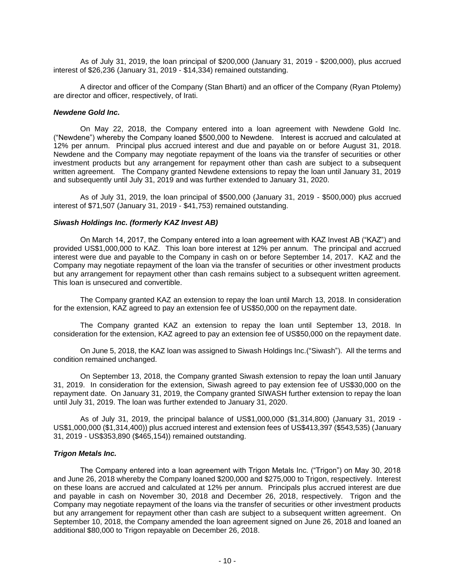As of July 31, 2019, the loan principal of \$200,000 (January 31, 2019 - \$200,000), plus accrued interest of \$26,236 (January 31, 2019 - \$14,334) remained outstanding.

A director and officer of the Company (Stan Bharti) and an officer of the Company (Ryan Ptolemy) are director and officer, respectively, of Irati.

#### *Newdene Gold Inc.*

On May 22, 2018, the Company entered into a loan agreement with Newdene Gold Inc. ("Newdene") whereby the Company loaned \$500,000 to Newdene. Interest is accrued and calculated at 12% per annum. Principal plus accrued interest and due and payable on or before August 31, 2018. Newdene and the Company may negotiate repayment of the loans via the transfer of securities or other investment products but any arrangement for repayment other than cash are subject to a subsequent written agreement. The Company granted Newdene extensions to repay the loan until January 31, 2019 and subsequently until July 31, 2019 and was further extended to January 31, 2020.

As of July 31, 2019, the loan principal of \$500,000 (January 31, 2019 - \$500,000) plus accrued interest of \$71,507 (January 31, 2019 - \$41,753) remained outstanding.

#### *Siwash Holdings Inc. (formerly KAZ Invest AB)*

On March 14, 2017, the Company entered into a loan agreement with KAZ Invest AB ("KAZ") and provided US\$1,000,000 to KAZ. This loan bore interest at 12% per annum. The principal and accrued interest were due and payable to the Company in cash on or before September 14, 2017. KAZ and the Company may negotiate repayment of the loan via the transfer of securities or other investment products but any arrangement for repayment other than cash remains subject to a subsequent written agreement. This loan is unsecured and convertible.

The Company granted KAZ an extension to repay the loan until March 13, 2018. In consideration for the extension, KAZ agreed to pay an extension fee of US\$50,000 on the repayment date.

The Company granted KAZ an extension to repay the loan until September 13, 2018. In consideration for the extension, KAZ agreed to pay an extension fee of US\$50,000 on the repayment date.

On June 5, 2018, the KAZ loan was assigned to Siwash Holdings Inc.("Siwash"). All the terms and condition remained unchanged.

On September 13, 2018, the Company granted Siwash extension to repay the loan until January 31, 2019. In consideration for the extension, Siwash agreed to pay extension fee of US\$30,000 on the repayment date. On January 31, 2019, the Company granted SIWASH further extension to repay the loan until July 31, 2019. The loan was further extended to January 31, 2020.

As of July 31, 2019, the principal balance of US\$1,000,000 (\$1,314,800) (January 31, 2019 - US\$1,000,000 (\$1,314,400)) plus accrued interest and extension fees of US\$413,397 (\$543,535) (January 31, 2019 - US\$353,890 (\$465,154)) remained outstanding.

#### *Trigon Metals Inc.*

The Company entered into a loan agreement with Trigon Metals Inc. ("Trigon") on May 30, 2018 and June 26, 2018 whereby the Company loaned \$200,000 and \$275,000 to Trigon, respectively. Interest on these loans are accrued and calculated at 12% per annum. Principals plus accrued interest are due and payable in cash on November 30, 2018 and December 26, 2018, respectively. Trigon and the Company may negotiate repayment of the loans via the transfer of securities or other investment products but any arrangement for repayment other than cash are subject to a subsequent written agreement. On September 10, 2018, the Company amended the loan agreement signed on June 26, 2018 and loaned an additional \$80,000 to Trigon repayable on December 26, 2018.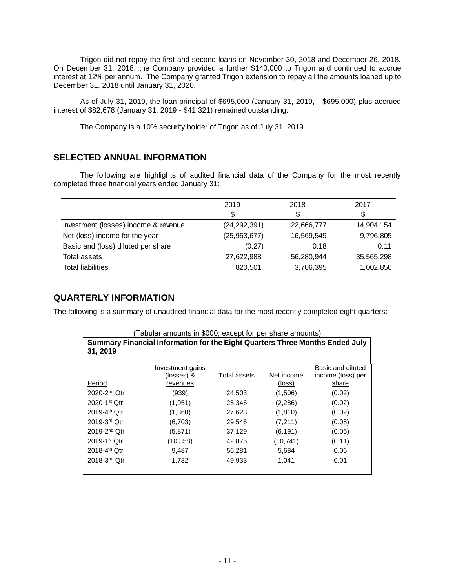Trigon did not repay the first and second loans on November 30, 2018 and December 26, 2018. On December 31, 2018, the Company provided a further \$140,000 to Trigon and continued to accrue interest at 12% per annum. The Company granted Trigon extension to repay all the amounts loaned up to December 31, 2018 until January 31, 2020.

As of July 31, 2019, the loan principal of \$695,000 (January 31, 2019, - \$695,000) plus accrued interest of \$82,678 (January 31, 2019 - \$41,321) remained outstanding.

The Company is a 10% security holder of Trigon as of July 31, 2019.

# **SELECTED ANNUAL INFORMATION**

The following are highlights of audited financial data of the Company for the most recently completed three financial years ended January 31:

|                                      | 2019           | 2018       | 2017       |
|--------------------------------------|----------------|------------|------------|
|                                      | \$             | S          | S          |
| Investment (losses) income & revenue | (24, 292, 391) | 22,666,777 | 14,904,154 |
| Net (loss) income for the year       | (25, 953, 677) | 16,569,549 | 9,796,805  |
| Basic and (loss) diluted per share   | (0.27)         | 0.18       | 0.11       |
| Total assets                         | 27,622,988     | 56,280,944 | 35,565,298 |
| <b>Total liabilities</b>             | 820,501        | 3,706,395  | 1,002,850  |

# **QUARTERLY INFORMATION**

The following is a summary of unaudited financial data for the most recently completed eight quarters:

| Tabular amounts in \$000, except for per share amounts) |                                                                              |                     |            |                   |  |  |  |  |  |  |
|---------------------------------------------------------|------------------------------------------------------------------------------|---------------------|------------|-------------------|--|--|--|--|--|--|
|                                                         | Summary Financial Information for the Eight Quarters Three Months Ended July |                     |            |                   |  |  |  |  |  |  |
| 31, 2019                                                |                                                                              |                     |            |                   |  |  |  |  |  |  |
|                                                         |                                                                              |                     |            |                   |  |  |  |  |  |  |
|                                                         | Investment gains                                                             |                     |            | Basic and diluted |  |  |  |  |  |  |
|                                                         | (losses) &                                                                   | <b>Total assets</b> | Net income | income (loss) per |  |  |  |  |  |  |
| Period                                                  | revenues                                                                     |                     | (loss)     | share             |  |  |  |  |  |  |
| 2020-2 <sup>nd</sup> Qtr                                | (939)                                                                        | 24,503              | (1,506)    | (0.02)            |  |  |  |  |  |  |
| 2020-1st Qtr                                            | (1,951)                                                                      | 25,346              | (2,286)    | (0.02)            |  |  |  |  |  |  |
| 2019-4 <sup>th</sup> Otr                                | (1,360)                                                                      | 27,623              | (1,810)    | (0.02)            |  |  |  |  |  |  |
| $2019-3rd$ Otr                                          | (6,703)                                                                      | 29,546              | (7,211)    | (0.08)            |  |  |  |  |  |  |
| $2019 - 2nd$ Otr                                        | (5,871)                                                                      | 37,129              | (6, 191)   | (0.06)            |  |  |  |  |  |  |
| 2019-1st Qtr                                            | (10, 358)                                                                    | 42,875              | (10, 741)  | (0.11)            |  |  |  |  |  |  |
| 2018-4 <sup>th</sup> Qtr                                | 9,487                                                                        | 56,281              | 5,684      | 0.06              |  |  |  |  |  |  |
| 2018-3 <sup>nd</sup> Qtr                                | 1,732                                                                        | 49,933              | 1.041      | 0.01              |  |  |  |  |  |  |
|                                                         |                                                                              |                     |            |                   |  |  |  |  |  |  |

(Tabular amounts in \$000, except for per share amounts)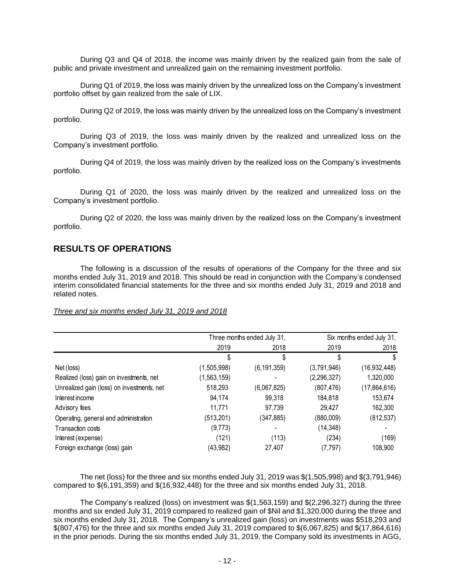During Q3 and Q4 of 2018, the income was mainly driven by the realized gain from the sale of public and private investment and unrealized gain on the remaining investment portfolio.

During Q1 of 2019, the loss was mainly driven by the unrealized loss on the Company's investment portfolio offset by gain realized from the sale of LIX.

During Q2 of 2019, the loss was mainly driven by the unrealized loss on the Company's investment portfolio.

During Q3 of 2019, the loss was mainly driven by the realized and unrealized loss on the Company's investment portfolio.

During Q4 of 2019, the loss was mainly driven by the realized loss on the Company's investments portfolio.

During Q1 of 2020, the loss was mainly driven by the realized and unrealized loss on the Company's investment portfolio.

During Q2 of 2020, the loss was mainly driven by the realized loss on the Company's investment portfolio.

# **RESULTS OF OPERATIONS**

The following is a discussion of the results of operations of the Company for the three and six months ended July 31, 2019 and 2018. This should be read in conjunction with the Company's condensed interim consolidated financial statements for the three and six months ended July 31, 2019 and 2018 and related notes.

#### *Three and six months ended July 31, 2019 and 2018*

|                                            |             | Three months ended July 31, | Six months ended July 31, |              |  |  |
|--------------------------------------------|-------------|-----------------------------|---------------------------|--------------|--|--|
|                                            | 2019        | 2018                        | 2019                      | 2018         |  |  |
|                                            | \$          | S                           | S                         |              |  |  |
| Net (loss)                                 | (1,505,998) | (6, 191, 359)               | (3,791,946)               | (16,932,448) |  |  |
| Realized (loss) gain on investments, net   | (1,563,159) |                             | (2, 296, 327)             | 1,320,000    |  |  |
| Unrealized gain (loss) on investments, net | 518,293     | (6,067,825)                 | (807, 476)                | (17,864,616) |  |  |
| Interest income                            | 94,174      | 99,318                      | 184,818                   | 153,674      |  |  |
| Advisory fees                              | 11.771      | 97.739                      | 29,427                    | 162,300      |  |  |
| Operating, general and administration      | (513, 201)  | (347, 885)                  | (880,009)                 | (812, 537)   |  |  |
| Transaction costs                          | (9, 773)    |                             | (14, 348)                 |              |  |  |
| Interest (expense)                         | (121)       | (113)                       | (234)                     | (169)        |  |  |
| Foreign exchange (loss) gain               | (43,982)    | 27,407                      | (7, 797)                  | 108,900      |  |  |

The net (loss) for the three and six months ended July 31, 2019 was \$(1,505,998) and \$(3,791,946) compared to \$(6,191,359) and \$(16,932,448) for the three and six months ended July 31, 2018.

The Company's realized (loss) on investment was \$(1,563,159) and \$(2,296,327) during the three months and six ended July 31, 2019 compared to realized gain of \$Nil and \$1,320,000 during the three and six months ended July 31, 2018. The Company's unrealized gain (loss) on investments was \$518,293 and \$(807,476) for the three and six months ended July 31, 2019 compared to \$(6,067,825) and \$(17,864,616) in the prior periods. During the six months ended July 31, 2019, the Company sold its investments in AGG,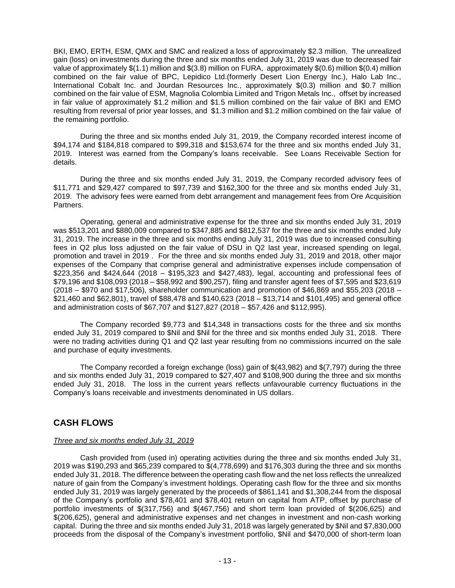BKI, EMO, ERTH, ESM, QMX and SMC and realized a loss of approximately \$2.3 million. The unrealized gain (loss) on investments during the three and six months ended July 31, 2019 was due to decreased fair value of approximately \$(1.1) million and \$(3.8) million on FURA, approximately \$(0.6) million \$(0.4) million combined on the fair value of BPC, Lepidico Ltd.(formerly Desert Lion Energy Inc.), Halo Lab Inc., International Cobalt Inc. and Jourdan Resources Inc., approximately \$(0.3) million and \$0.7 million combined on the fair value of ESM, Magnolia Colombia Limited and Trigon Metals Inc., offset by increased in fair value of approximately \$1.2 million and \$1.5 million combined on the fair value of BKI and EMO resulting from reversal of prior year losses, and \$1.3 million and \$1.2 million combined on the fair value of the remaining portfolio.

During the three and six months ended July 31, 2019, the Company recorded interest income of \$94,174 and \$184,818 compared to \$99,318 and \$153,674 for the three and six months ended July 31, 2019. Interest was earned from the Company's loans receivable. See Loans Receivable Section for details.

During the three and six months ended July 31, 2019, the Company recorded advisory fees of \$11,771 and \$29,427 compared to \$97,739 and \$162,300 for the three and six months ended July 31, 2019. The advisory fees were earned from debt arrangement and management fees from Ore Acquisition Partners.

Operating, general and administrative expense for the three and six months ended July 31, 2019 was \$513,201 and \$880,009 compared to \$347,885 and \$812,537 for the three and six months ended July 31, 2019. The increase in the three and six months ending July 31, 2019 was due to increased consulting fees in Q2 plus loss adjusted on the fair value of DSU in Q2 last year, increased spending on legal, promotion and travel in 2019 . For the three and six months ended July 31, 2019 and 2018, other major expenses of the Company that comprise general and administrative expenses include compensation of \$223,356 and \$424,644 (2018 – \$195,323 and \$427,483), legal, accounting and professional fees of \$79,196 and \$108,093 (2018 – \$58,992 and \$90,257), filing and transfer agent fees of \$7,595 and \$23,619 (2018 – \$970 and \$17,506), shareholder communication and promotion of \$46,869 and \$55,203 (2018 – \$21,460 and \$62,801), travel of \$88,478 and \$140,623 (2018 – \$13,714 and \$101,495) and general office and administration costs of \$67,707 and \$127,827 (2018 – \$57,426 and \$112,995).

The Company recorded \$9,773 and \$14,348 in transactions costs for the three and six months ended July 31, 2019 compared to \$Nil and \$Nil for the three and six months ended July 31, 2018. There were no trading activities during Q1 and Q2 last year resulting from no commissions incurred on the sale and purchase of equity investments.

The Company recorded a foreign exchange (loss) gain of \$(43,982) and \$(7,797) during the three and six months ended July 31, 2019 compared to \$27,407 and \$108,900 during the three and six months ended July 31, 2018. The loss in the current years reflects unfavourable currency fluctuations in the Company's loans receivable and investments denominated in US dollars.

# **CASH FLOWS**

# *Three and six months ended July 31, 2019*

Cash provided from (used in) operating activities during the three and six months ended July 31, 2019 was \$190,293 and \$65,239 compared to \$(4,778,699) and \$176,303 during the three and six months ended July 31, 2018. The difference between the operating cash flow and the net loss reflects the unrealized nature of gain from the Company's investment holdings. Operating cash flow for the three and six months ended July 31, 2019 was largely generated by the proceeds of \$861,141 and \$1,308,244 from the disposal of the Company's portfolio and \$78,401 and \$78,401 return on capital from ATP, offset by purchase of portfolio investments of \$(317,756) and \$(467,756) and short term loan provided of \$(206,625) and \$(206,625), general and administrative expenses and net changes in investment and non-cash working capital. During the three and six months ended July 31, 2018 was largely generated by \$Nil and \$7,830,000 proceeds from the disposal of the Company's investment portfolio, \$Nil and \$470,000 of short-term loan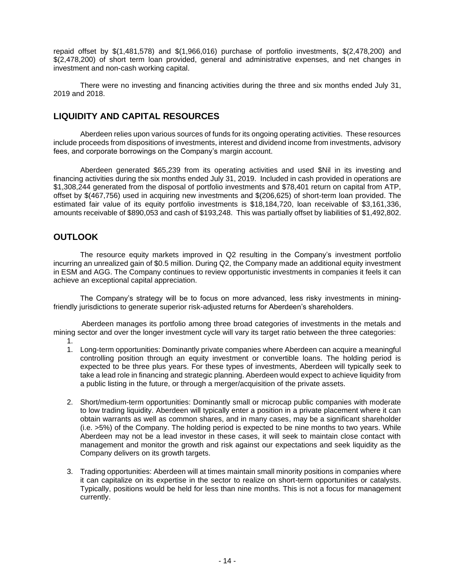repaid offset by \$(1,481,578) and \$(1,966,016) purchase of portfolio investments, \$(2,478,200) and \$(2,478,200) of short term loan provided, general and administrative expenses, and net changes in investment and non-cash working capital.

There were no investing and financing activities during the three and six months ended July 31, 2019 and 2018.

# **LIQUIDITY AND CAPITAL RESOURCES**

Aberdeen relies upon various sources of funds for its ongoing operating activities. These resources include proceeds from dispositions of investments, interest and dividend income from investments, advisory fees, and corporate borrowings on the Company's margin account.

Aberdeen generated \$65,239 from its operating activities and used \$Nil in its investing and financing activities during the six months ended July 31, 2019. Included in cash provided in operations are \$1,308,244 generated from the disposal of portfolio investments and \$78,401 return on capital from ATP, offset by \$(467,756) used in acquiring new investments and \$(206,625) of short-term loan provided. The estimated fair value of its equity portfolio investments is \$18,184,720, loan receivable of \$3,161,336, amounts receivable of \$890,053 and cash of \$193,248. This was partially offset by liabilities of \$1,492,802.

# **OUTLOOK**

The resource equity markets improved in Q2 resulting in the Company's investment portfolio incurring an unrealized gain of \$0.5 million. During Q2, the Company made an additional equity investment in ESM and AGG. The Company continues to review opportunistic investments in companies it feels it can achieve an exceptional capital appreciation.

The Company's strategy will be to focus on more advanced, less risky investments in miningfriendly jurisdictions to generate superior risk-adjusted returns for Aberdeen's shareholders.

Aberdeen manages its portfolio among three broad categories of investments in the metals and mining sector and over the longer investment cycle will vary its target ratio between the three categories:

- 1.
- 1. Long-term opportunities: Dominantly private companies where Aberdeen can acquire a meaningful controlling position through an equity investment or convertible loans. The holding period is expected to be three plus years. For these types of investments, Aberdeen will typically seek to take a lead role in financing and strategic planning. Aberdeen would expect to achieve liquidity from a public listing in the future, or through a merger/acquisition of the private assets.
- 2. Short/medium-term opportunities: Dominantly small or microcap public companies with moderate to low trading liquidity. Aberdeen will typically enter a position in a private placement where it can obtain warrants as well as common shares, and in many cases, may be a significant shareholder (i.e. >5%) of the Company. The holding period is expected to be nine months to two years. While Aberdeen may not be a lead investor in these cases, it will seek to maintain close contact with management and monitor the growth and risk against our expectations and seek liquidity as the Company delivers on its growth targets.
- 3. Trading opportunities: Aberdeen will at times maintain small minority positions in companies where it can capitalize on its expertise in the sector to realize on short-term opportunities or catalysts. Typically, positions would be held for less than nine months. This is not a focus for management currently.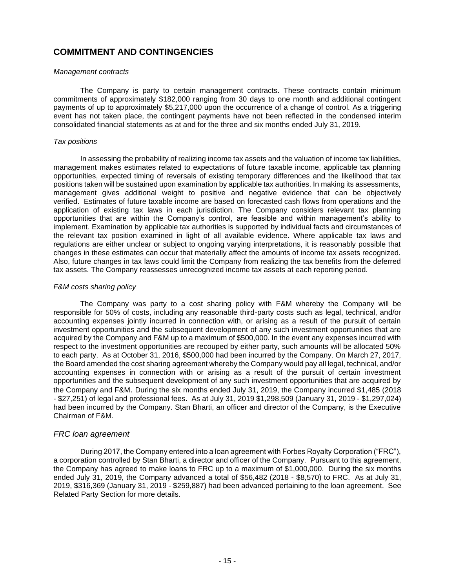# **COMMITMENT AND CONTINGENCIES**

### *Management contracts*

The Company is party to certain management contracts. These contracts contain minimum commitments of approximately \$182,000 ranging from 30 days to one month and additional contingent payments of up to approximately \$5,217,000 upon the occurrence of a change of control. As a triggering event has not taken place, the contingent payments have not been reflected in the condensed interim consolidated financial statements as at and for the three and six months ended July 31, 2019.

#### *Tax positions*

In assessing the probability of realizing income tax assets and the valuation of income tax liabilities, management makes estimates related to expectations of future taxable income, applicable tax planning opportunities, expected timing of reversals of existing temporary differences and the likelihood that tax positions taken will be sustained upon examination by applicable tax authorities. In making its assessments, management gives additional weight to positive and negative evidence that can be objectively verified. Estimates of future taxable income are based on forecasted cash flows from operations and the application of existing tax laws in each jurisdiction. The Company considers relevant tax planning opportunities that are within the Company's control, are feasible and within management's ability to implement. Examination by applicable tax authorities is supported by individual facts and circumstances of the relevant tax position examined in light of all available evidence. Where applicable tax laws and regulations are either unclear or subject to ongoing varying interpretations, it is reasonably possible that changes in these estimates can occur that materially affect the amounts of income tax assets recognized. Also, future changes in tax laws could limit the Company from realizing the tax benefits from the deferred tax assets. The Company reassesses unrecognized income tax assets at each reporting period.

#### *F&M costs sharing policy*

The Company was party to a cost sharing policy with F&M whereby the Company will be responsible for 50% of costs, including any reasonable third-party costs such as legal, technical, and/or accounting expenses jointly incurred in connection with, or arising as a result of the pursuit of certain investment opportunities and the subsequent development of any such investment opportunities that are acquired by the Company and F&M up to a maximum of \$500,000. In the event any expenses incurred with respect to the investment opportunities are recouped by either party, such amounts will be allocated 50% to each party. As at October 31, 2016, \$500,000 had been incurred by the Company. On March 27, 2017, the Board amended the cost sharing agreement whereby the Company would pay all legal, technical, and/or accounting expenses in connection with or arising as a result of the pursuit of certain investment opportunities and the subsequent development of any such investment opportunities that are acquired by the Company and F&M. During the six months ended July 31, 2019, the Company incurred \$1,485 (2018 - \$27,251) of legal and professional fees. As at July 31, 2019 \$1,298,509 (January 31, 2019 - \$1,297,024) had been incurred by the Company. Stan Bharti, an officer and director of the Company, is the Executive Chairman of F&M.

### *FRC loan agreement*

During 2017, the Company entered into a loan agreement with Forbes Royalty Corporation ("FRC"), a corporation controlled by Stan Bharti, a director and officer of the Company. Pursuant to this agreement, the Company has agreed to make loans to FRC up to a maximum of \$1,000,000. During the six months ended July 31, 2019, the Company advanced a total of \$56,482 (2018 - \$8,570) to FRC. As at July 31, 2019, \$316,369 (January 31, 2019 - \$259,887) had been advanced pertaining to the loan agreement. See Related Party Section for more details.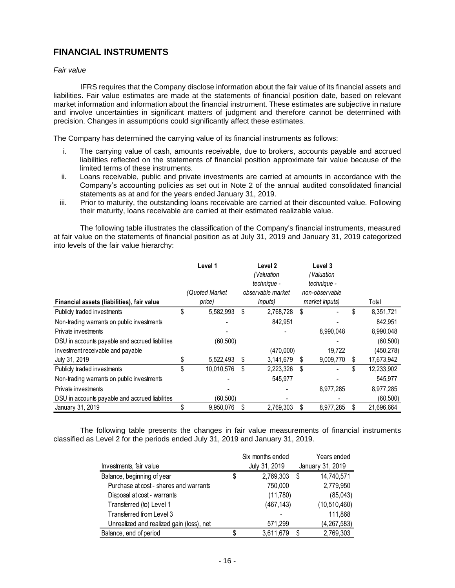# **FINANCIAL INSTRUMENTS**

# *Fair value*

IFRS requires that the Company disclose information about the fair value of its financial assets and liabilities. Fair value estimates are made at the statements of financial position date, based on relevant market information and information about the financial instrument. These estimates are subjective in nature and involve uncertainties in significant matters of judgment and therefore cannot be determined with precision. Changes in assumptions could significantly affect these estimates.

The Company has determined the carrying value of its financial instruments as follows:

- i. The carrying value of cash, amounts receivable, due to brokers, accounts payable and accrued liabilities reflected on the statements of financial position approximate fair value because of the limited terms of these instruments.
- ii. Loans receivable, public and private investments are carried at amounts in accordance with the Company's accounting policies as set out in Note 2 of the annual audited consolidated financial statements as at and for the years ended January 31, 2019.
- iii. Prior to maturity, the outstanding loans receivable are carried at their discounted value. Following their maturity, loans receivable are carried at their estimated realizable value.

The following table illustrates the classification of the Company's financial instruments, measured at fair value on the statements of financial position as at July 31, 2019 and January 31, 2019 categorized into levels of the fair value hierarchy:

|                                                 | Level 1          | Level 2<br>(Valuation<br>technique - |   | Level 3<br>(Valuation<br>technique - |                  |
|-------------------------------------------------|------------------|--------------------------------------|---|--------------------------------------|------------------|
|                                                 | (Quoted Market   | observable market                    |   | non-observable                       |                  |
| Financial assets (liabilities), fair value      | price)           | Inputs)                              |   | market inputs)                       | Total            |
| Publicly traded investments                     | \$<br>5,582,993  | \$<br>2,768,728                      | S |                                      | \$<br>8,351,721  |
| Non-trading warrants on public investments      |                  | 842.951                              |   |                                      | 842.951          |
| Private investments                             |                  |                                      |   | 8,990,048                            | 8,990,048        |
| DSU in accounts payable and accrued liabilities | (60, 500)        |                                      |   |                                      | (60, 500)        |
| Investment receivable and payable               |                  | (470.000)                            |   | 19,722                               | (450, 278)       |
| July 31, 2019                                   | 5,522,493        | 3,141,679                            |   | 9,009,770                            | \$<br>17,673,942 |
| Publicly traded investments                     | \$<br>10,010,576 | \$<br>2,223,326                      | S |                                      | \$<br>12,233,902 |
| Non-trading warrants on public investments      |                  | 545.977                              |   |                                      | 545.977          |
| Private investments                             |                  |                                      |   | 8,977,285                            | 8,977,285        |
| DSU in accounts payable and accrued liabilities | (60, 500)        |                                      |   |                                      | (60, 500)        |
| January 31, 2019                                | 9,950,076        | 2,769,303                            |   | 8,977,285                            | 21,696,664       |

The following table presents the changes in fair value measurements of financial instruments classified as Level 2 for the periods ended July 31, 2019 and January 31, 2019.

|                                          | Six months ended | Years ended      |
|------------------------------------------|------------------|------------------|
| Investments, fair value                  | July 31, 2019    | January 31, 2019 |
| Balance, beginning of year               | \$<br>2,769,303  | \$<br>14,740,571 |
| Purchase at cost - shares and warrants   | 750,000          | 2,779,950        |
| Disposal at cost - warrants              | (11,780)         | (85,043)         |
| Transferred (to) Level 1                 | (467, 143)       | (10,510,460)     |
| Transferred from Level 3                 |                  | 111,868          |
| Unrealized and realized gain (loss), net | 571,299          | (4, 267, 583)    |
| Balance, end of period                   | \$<br>3,611,679  | \$<br>2,769,303  |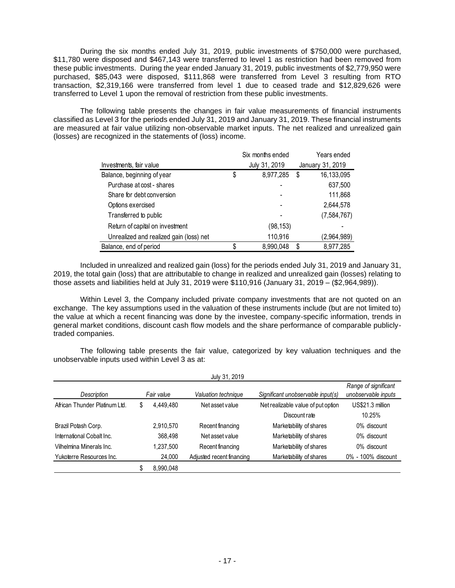During the six months ended July 31, 2019, public investments of \$750,000 were purchased, \$11,780 were disposed and \$467,143 were transferred to level 1 as restriction had been removed from these public investments. During the year ended January 31, 2019, public investments of \$2,779,950 were purchased, \$85,043 were disposed, \$111,868 were transferred from Level 3 resulting from RTO transaction, \$2,319,166 were transferred from level 1 due to ceased trade and \$12,829,626 were transferred to Level 1 upon the removal of restriction from these public investments.

The following table presents the changes in fair value measurements of financial instruments classified as Level 3 for the periods ended July 31, 2019 and January 31, 2019. These financial instruments are measured at fair value utilizing non-observable market inputs. The net realized and unrealized gain (losses) are recognized in the statements of (loss) income.

|                                         |    | Six months ended | Years ended      |
|-----------------------------------------|----|------------------|------------------|
| Investments, fair value                 |    | July 31, 2019    | January 31, 2019 |
| Balance, beginning of year              | \$ | 8,977,285        | \$<br>16,133,095 |
| Purchase at cost - shares               |    |                  | 637,500          |
| Share for debt conversion               |    |                  | 111,868          |
| Options exercised                       |    |                  | 2,644,578        |
| Transferred to public                   |    |                  | (7,584,767)      |
| Return of capital on investment         |    | (98, 153)        |                  |
| Unrealized and realized gain (loss) net |    | 110,916          | (2.964.989)      |
| Balance, end of period                  | S  | 8,990,048        | \$<br>8,977,285  |

Included in unrealized and realized gain (loss) for the periods ended July 31, 2019 and January 31, 2019, the total gain (loss) that are attributable to change in realized and unrealized gain (losses) relating to those assets and liabilities held at July 31, 2019 were \$110,916 (January 31, 2019 – (\$2,964,989)).

Within Level 3, the Company included private company investments that are not quoted on an exchange. The key assumptions used in the valuation of these instruments include (but are not limited to) the value at which a recent financing was done by the investee, company-specific information, trends in general market conditions, discount cash flow models and the share performance of comparable publiclytraded companies.

The following table presents the fair value, categorized by key valuation techniques and the unobservable inputs used within Level 3 as at:

|                               |    |            | July 31, 2019             |                                    |                                             |
|-------------------------------|----|------------|---------------------------|------------------------------------|---------------------------------------------|
| Description                   |    | Fair value | Valuation technique       | Significant unobservable input(s)  | Range of significant<br>unobservable inputs |
| African Thunder Platinum Ltd. | \$ | 4,449,480  | Net asset value           | Net realizable value of put option | US\$21.3 million                            |
|                               |    |            |                           | Discount rate                      | 10.25%                                      |
| Brazil Potash Corp.           |    | 2,910,570  | Recent financing          | Marketability of shares            | 0% discount                                 |
| International Cobalt Inc.     |    | 368.498    | Net asset value           | Marketability of shares            | 0% discount                                 |
| Vilhelmina Minerals Inc.      |    | 1,237,500  | Recent financing          | Marketability of shares            | 0% discount                                 |
| Yukoterre Resources Inc.      |    | 24,000     | Adjusted recent financing | Marketability of shares            | 0% - 100% discount                          |
|                               | S  | 8,990,048  |                           |                                    |                                             |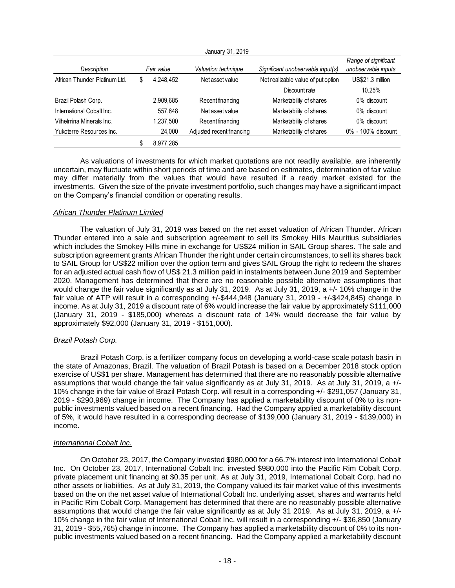|                               |                 | Jaliual V J I, ZU I 9     |                                    |                                             |
|-------------------------------|-----------------|---------------------------|------------------------------------|---------------------------------------------|
| Description                   | Fair value      | Valuation technique       | Significant unobservable input(s)  | Range of significant<br>unobservable inputs |
| African Thunder Platinum Ltd. | \$<br>4.248.452 | Net asset value           | Net realizable value of put option | US\$21.3 million                            |
|                               |                 |                           | Discount rate                      | 10.25%                                      |
| Brazil Potash Corp.           | 2,909,685       | Recent financing          | Marketability of shares            | 0% discount                                 |
| International Cobalt Inc.     | 557.648         | Net asset value           | Marketability of shares            | 0% discount                                 |
| Vilhelmina Minerals Inc.      | 1,237,500       | Recent financing          | Marketability of shares            | 0% discount                                 |
| Yukoterre Resources Inc.      | 24,000          | Adjusted recent financing | Marketability of shares            | 0% - 100% discount                          |
|                               | 8,977,285       |                           |                                    |                                             |

January 31, 2019

As valuations of investments for which market quotations are not readily available, are inherently uncertain, may fluctuate within short periods of time and are based on estimates, determination of fair value may differ materially from the values that would have resulted if a ready market existed for the investments. Given the size of the private investment portfolio, such changes may have a significant impact on the Company's financial condition or operating results.

## *African Thunder Platinum Limited*

The valuation of July 31, 2019 was based on the net asset valuation of African Thunder. African Thunder entered into a sale and subscription agreement to sell its Smokey Hills Mauritius subsidiaries which includes the Smokey Hills mine in exchange for US\$24 million in SAIL Group shares. The sale and subscription agreement grants African Thunder the right under certain circumstances, to sell its shares back to SAIL Group for US\$22 million over the option term and gives SAIL Group the right to redeem the shares for an adjusted actual cash flow of US\$ 21.3 million paid in instalments between June 2019 and September 2020. Management has determined that there are no reasonable possible alternative assumptions that would change the fair value significantly as at July 31, 2019. As at July 31, 2019, a +/- 10% change in the fair value of ATP will result in a corresponding +/-\$444,948 (January 31, 2019 - +/-\$424,845) change in income. As at July 31, 2019 a discount rate of 6% would increase the fair value by approximately \$111,000 (January 31, 2019 - \$185,000) whereas a discount rate of 14% would decrease the fair value by approximately \$92,000 (January 31, 2019 - \$151,000).

### *Brazil Potash Corp.*

Brazil Potash Corp. is a fertilizer company focus on developing a world-case scale potash basin in the state of Amazonas, Brazil. The valuation of Brazil Potash is based on a December 2018 stock option exercise of US\$1 per share. Management has determined that there are no reasonably possible alternative assumptions that would change the fair value significantly as at July 31, 2019. As at July 31, 2019, a +/- 10% change in the fair value of Brazil Potash Corp. will result in a corresponding +/- \$291,057 (January 31, 2019 - \$290,969) change in income. The Company has applied a marketability discount of 0% to its nonpublic investments valued based on a recent financing. Had the Company applied a marketability discount of 5%, it would have resulted in a corresponding decrease of \$139,000 (January 31, 2019 - \$139,000) in income.

### *International Cobalt Inc.*

On October 23, 2017, the Company invested \$980,000 for a 66.7% interest into International Cobalt Inc. On October 23, 2017, International Cobalt Inc. invested \$980,000 into the Pacific Rim Cobalt Corp. private placement unit financing at \$0.35 per unit. As at July 31, 2019, International Cobalt Corp. had no other assets or liabilities. As at July 31, 2019, the Company valued its fair market value of this investments based on the on the net asset value of International Cobalt Inc. underlying asset, shares and warrants held in Pacific Rim Cobalt Corp. Management has determined that there are no reasonably possible alternative assumptions that would change the fair value significantly as at July 31 2019. As at July 31, 2019, a +/- 10% change in the fair value of International Cobalt Inc. will result in a corresponding +/- \$36,850 (January 31, 2019 - \$55,765) change in income. The Company has applied a marketability discount of 0% to its nonpublic investments valued based on a recent financing. Had the Company applied a marketability discount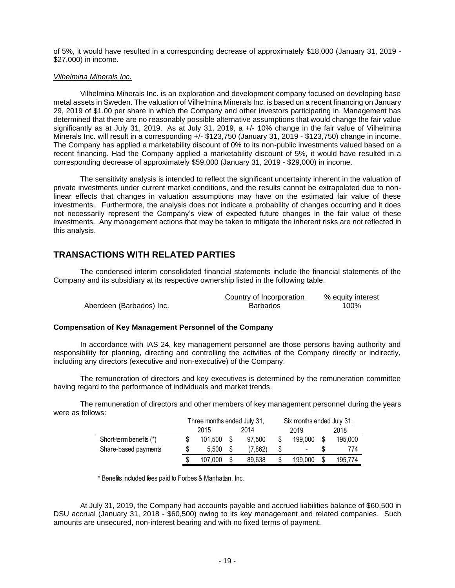of 5%, it would have resulted in a corresponding decrease of approximately \$18,000 (January 31, 2019 - \$27,000) in income.

### *Vilhelmina Minerals Inc.*

Vilhelmina Minerals Inc. is an exploration and development company focused on developing base metal assets in Sweden. The valuation of Vilhelmina Minerals Inc. is based on a recent financing on January 29, 2019 of \$1.00 per share in which the Company and other investors participating in. Management has determined that there are no reasonably possible alternative assumptions that would change the fair value significantly as at July 31, 2019. As at July 31, 2019, a +/- 10% change in the fair value of Vilhelmina Minerals Inc. will result in a corresponding +/- \$123,750 (January 31, 2019 - \$123,750) change in income. The Company has applied a marketability discount of 0% to its non-public investments valued based on a recent financing. Had the Company applied a marketability discount of 5%, it would have resulted in a corresponding decrease of approximately \$59,000 (January 31, 2019 - \$29,000) in income.

The sensitivity analysis is intended to reflect the significant uncertainty inherent in the valuation of private investments under current market conditions, and the results cannot be extrapolated due to nonlinear effects that changes in valuation assumptions may have on the estimated fair value of these investments. Furthermore, the analysis does not indicate a probability of changes occurring and it does not necessarily represent the Company's view of expected future changes in the fair value of these investments. Any management actions that may be taken to mitigate the inherent risks are not reflected in this analysis.

# **TRANSACTIONS WITH RELATED PARTIES**

The condensed interim consolidated financial statements include the financial statements of the Company and its subsidiary at its respective ownership listed in the following table.

|                          | Country of Incorporation | % equity interest |
|--------------------------|--------------------------|-------------------|
| Aberdeen (Barbados) Inc. | <b>Barbados</b>          | 100%              |

### **Compensation of Key Management Personnel of the Company**

In accordance with IAS 24, key management personnel are those persons having authority and responsibility for planning, directing and controlling the activities of the Company directly or indirectly, including any directors (executive and non-executive) of the Company.

The remuneration of directors and key executives is determined by the remuneration committee having regard to the performance of individuals and market trends.

The remuneration of directors and other members of key management personnel during the years were as follows:

|                         | Three months ended July 31, |  |         | Six months ended July 31, |                          |    |         |
|-------------------------|-----------------------------|--|---------|---------------------------|--------------------------|----|---------|
|                         | 2015                        |  | 2014    |                           | 2019                     |    | 2018    |
| Short-term benefits (*) | 101.500                     |  | 97.500  |                           | 199.000                  | \$ | 195,000 |
| Share-based payments    | 5.500                       |  | (7.862) |                           | $\overline{\phantom{a}}$ |    | 774     |
|                         | 107.000                     |  | 89.638  |                           | 199.000                  |    | 195,774 |

\* Benefits included fees paid to Forbes & Manhattan, Inc.

At July 31, 2019, the Company had accounts payable and accrued liabilities balance of \$60,500 in DSU accrual (January 31, 2018 - \$60,500) owing to its key management and related companies. Such amounts are unsecured, non-interest bearing and with no fixed terms of payment.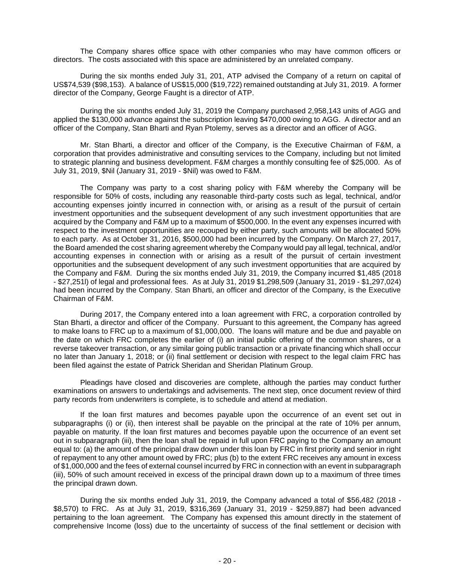The Company shares office space with other companies who may have common officers or directors. The costs associated with this space are administered by an unrelated company.

During the six months ended July 31, 201, ATP advised the Company of a return on capital of US\$74,539 (\$98,153). A balance of US\$15,000 (\$19,722) remained outstanding at July 31, 2019. A former director of the Company, George Faught is a director of ATP.

During the six months ended July 31, 2019 the Company purchased 2,958,143 units of AGG and applied the \$130,000 advance against the subscription leaving \$470,000 owing to AGG. A director and an officer of the Company, Stan Bharti and Ryan Ptolemy, serves as a director and an officer of AGG.

Mr. Stan Bharti, a director and officer of the Company, is the Executive Chairman of F&M, a corporation that provides administrative and consulting services to the Company, including but not limited to strategic planning and business development. F&M charges a monthly consulting fee of \$25,000. As of July 31, 2019, \$Nil (January 31, 2019 - \$Nil) was owed to F&M.

The Company was party to a cost sharing policy with F&M whereby the Company will be responsible for 50% of costs, including any reasonable third-party costs such as legal, technical, and/or accounting expenses jointly incurred in connection with, or arising as a result of the pursuit of certain investment opportunities and the subsequent development of any such investment opportunities that are acquired by the Company and F&M up to a maximum of \$500,000. In the event any expenses incurred with respect to the investment opportunities are recouped by either party, such amounts will be allocated 50% to each party. As at October 31, 2016, \$500,000 had been incurred by the Company. On March 27, 2017, the Board amended the cost sharing agreement whereby the Company would pay all legal, technical, and/or accounting expenses in connection with or arising as a result of the pursuit of certain investment opportunities and the subsequent development of any such investment opportunities that are acquired by the Company and F&M. During the six months ended July 31, 2019, the Company incurred \$1,485 (2018 - \$27,251l) of legal and professional fees. As at July 31, 2019 \$1,298,509 (January 31, 2019 - \$1,297,024) had been incurred by the Company. Stan Bharti, an officer and director of the Company, is the Executive Chairman of F&M.

During 2017, the Company entered into a loan agreement with FRC, a corporation controlled by Stan Bharti, a director and officer of the Company. Pursuant to this agreement, the Company has agreed to make loans to FRC up to a maximum of \$1,000,000. The loans will mature and be due and payable on the date on which FRC completes the earlier of (i) an initial public offering of the common shares, or a reverse takeover transaction, or any similar going public transaction or a private financing which shall occur no later than January 1, 2018; or (ii) final settlement or decision with respect to the legal claim FRC has been filed against the estate of Patrick Sheridan and Sheridan Platinum Group.

Pleadings have closed and discoveries are complete, although the parties may conduct further examinations on answers to undertakings and advisements. The next step, once document review of third party records from underwriters is complete, is to schedule and attend at mediation.

If the loan first matures and becomes payable upon the occurrence of an event set out in subparagraphs (i) or (ii), then interest shall be payable on the principal at the rate of 10% per annum, payable on maturity. If the loan first matures and becomes payable upon the occurrence of an event set out in subparagraph (iii), then the loan shall be repaid in full upon FRC paying to the Company an amount equal to: (a) the amount of the principal draw down under this loan by FRC in first priority and senior in right of repayment to any other amount owed by FRC; plus (b) to the extent FRC receives any amount in excess of \$1,000,000 and the fees of external counsel incurred by FRC in connection with an event in subparagraph (iii), 50% of such amount received in excess of the principal drawn down up to a maximum of three times the principal drawn down.

During the six months ended July 31, 2019, the Company advanced a total of \$56,482 (2018 - \$8,570) to FRC. As at July 31, 2019, \$316,369 (January 31, 2019 - \$259,887) had been advanced pertaining to the loan agreement. The Company has expensed this amount directly in the statement of comprehensive Income (loss) due to the uncertainty of success of the final settlement or decision with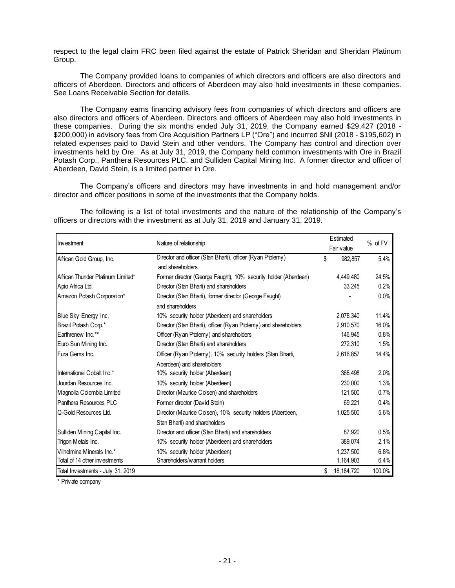respect to the legal claim FRC been filed against the estate of Patrick Sheridan and Sheridan Platinum Group.

The Company provided loans to companies of which directors and officers are also directors and officers of Aberdeen. Directors and officers of Aberdeen may also hold investments in these companies. See Loans Receivable Section for details.

The Company earns financing advisory fees from companies of which directors and officers are also directors and officers of Aberdeen. Directors and officers of Aberdeen may also hold investments in these companies. During the six months ended July 31, 2019, the Company earned \$29,427 (2018 - \$200,000) in advisory fees from Ore Acquisition Partners LP ("Ore") and incurred \$Nil (2018 - \$195,602) in related expenses paid to David Stein and other vendors. The Company has control and direction over investments held by Ore. As at July 31, 2019, the Company held common investments with Ore in Brazil Potash Corp., Panthera Resources PLC. and Sulliden Capital Mining Inc. A former director and officer of Aberdeen, David Stein, is a limited partner in Ore.

The Company's officers and directors may have investments in and hold management and/or director and officer positions in some of the investments that the Company holds.

The following is a list of total investments and the nature of the relationship of the Company's officers or directors with the investment as at July 31, 2019 and January 31, 2019.

| Investment                        | Nature of relationship                                                                      | Estimated<br>Fair value |              | % of FV |
|-----------------------------------|---------------------------------------------------------------------------------------------|-------------------------|--------------|---------|
| African Gold Group, Inc.          | Director and officer (Stan Bharti), officer (Ry an Ptolemy)<br>and shareholders             | \$                      | 982.857      | 5.4%    |
| African Thunder Platinum Limited* | Former director (George Faught), 10% security holder (Aberdeen)                             |                         | 4,449,480    | 24.5%   |
| Apio Africa Ltd.                  | Director (Stan Bharti) and shareholders                                                     |                         | 33,245       | 0.2%    |
| Amazon Potash Corporation*        | Director (Stan Bharti), former director (George Faught)<br>and shareholders                 |                         |              | 0.0%    |
| Blue Sky Energy Inc.              | 10% security holder (Aberdeen) and shareholders                                             |                         | 2,078,340    | 11.4%   |
| Brazil Potash Corp.*              | Director (Stan Bharti), officer (Ry an Ptolemy) and shareholders                            |                         | 2,910,570    | 16.0%   |
| Earthrenew Inc.**                 | Officer (Ry an Ptolemy) and shareholders                                                    |                         | 146.945      | 0.8%    |
| Euro Sun Mining Inc.              | Director (Stan Bharti) and shareholders                                                     |                         | 272,310      | 1.5%    |
| Fura Gems Inc.                    | Officer (Ry an Ptolemy), 10% security holders (Stan Bharti,<br>Aberdeen) and shareholders   |                         | 2,616,857    | 14.4%   |
| International Cobalt Inc.*        | 10% security holder (Aberdeen)                                                              |                         | 368,498      | 2.0%    |
| Jourdan Resources Inc.            | 10% security holder (Aberdeen)                                                              |                         | 230,000      | 1.3%    |
| Magnolia Colombia Limited         | Director (Maurice Colsen) and shareholders                                                  |                         | 121,500      | 0.7%    |
| Panthera Resources PLC            | Former director (David Stein)                                                               |                         | 69,221       | 0.4%    |
| Q-Gold Resources Ltd.             | Director (Maurice Colsen), 10% security holders (Aberdeen,<br>Stan Bharti) and shareholders |                         | 1,025,500    | 5.6%    |
| Sulliden Mining Capital Inc.      | Director and officer (Stan Bharti) and shareholders                                         |                         | 87.920       | 0.5%    |
| Trigon Metals Inc.                | 10% security holder (Aberdeen) and shareholders                                             |                         | 389,074      | 2.1%    |
| Vilhelmina Minerals Inc.*         | 10% security holder (Aberdeen)                                                              |                         | 1,237,500    | 6.8%    |
| Total of 14 other investments     | Shareholders/warrant holders                                                                |                         | 1,164,903    | 6.4%    |
| Total Investments - July 31, 2019 |                                                                                             | \$                      | 18, 184, 720 | 100.0%  |

\* Private company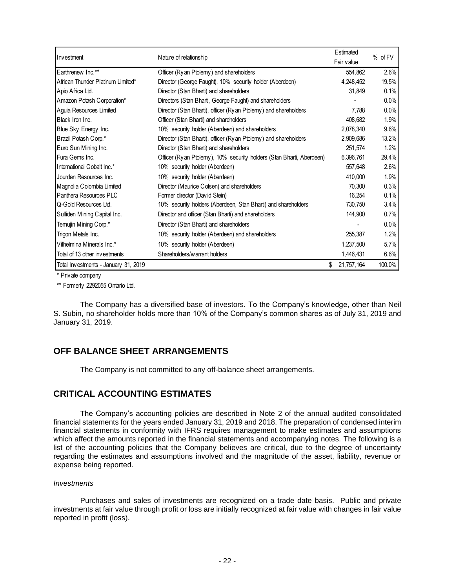| Investment                           | Nature of relationship                                                | Estimated<br>Fair value | % of FV |
|--------------------------------------|-----------------------------------------------------------------------|-------------------------|---------|
| Earthrenew Inc.**                    | Officer (Ry an Ptolemy) and shareholders                              | 554.862                 | 2.6%    |
| African Thunder Platinum Limited*    | Director (George Faught), 10% security holder (Aberdeen)              | 4,248,452               | 19.5%   |
| Apio Africa Ltd.                     | Director (Stan Bharti) and shareholders                               | 31.849                  | 0.1%    |
| Amazon Potash Corporation*           | Directors (Stan Bharti, George Faught) and shareholders               |                         | 0.0%    |
| Aguia Resources Limited              | Director (Stan Bharti), officer (Ry an Ptolemy) and shareholders      | 7.788                   | 0.0%    |
| Black Iron Inc.                      | Officer (Stan Bharti) and shareholders                                | 408.682                 | 1.9%    |
| Blue Sky Energy Inc.                 | 10% security holder (Aberdeen) and shareholders                       | 2.078.340               | 9.6%    |
| Brazil Potash Corp.*                 | Director (Stan Bharti), officer (Ry an Ptolemy) and shareholders      | 2,909,686               | 13.2%   |
| Euro Sun Mining Inc.                 | Director (Stan Bharti) and shareholders                               | 251,574                 | 1.2%    |
| Fura Gems Inc.                       | Officer (Ry an Ptolemy), 10% security holders (Stan Bharti, Aberdeen) | 6,396,761               | 29.4%   |
| International Cobalt Inc.*           | 10% security holder (Aberdeen)                                        | 557,648                 | 2.6%    |
| Jourdan Resources Inc.               | 10% security holder (Aberdeen)                                        | 410.000                 | 1.9%    |
| Magnolia Colombia Limited            | Director (Maurice Colsen) and shareholders                            | 70.300                  | 0.3%    |
| Panthera Resources PLC               | Former director (David Stein)                                         | 16.254                  | 0.1%    |
| Q-Gold Resources Ltd.                | 10% security holders (Aberdeen, Stan Bharti) and shareholders         | 730,750                 | 3.4%    |
| Sulliden Mining Capital Inc.         | Director and officer (Stan Bharti) and shareholders                   | 144,900                 | 0.7%    |
| Temujin Mining Corp.*                | Director (Stan Bharti) and shareholders                               |                         | 0.0%    |
| Trigon Metals Inc.                   | 10% security holder (Aberdeen) and shareholders                       | 255,387                 | 1.2%    |
| Vilhelmina Minerals Inc.*            | 10% security holder (Aberdeen)                                        | 1,237,500               | 5.7%    |
| Total of 13 other investments        | Shareholders/warrant holders                                          | 1,446,431               | 6.6%    |
| Total Investments - January 31, 2019 |                                                                       | 21,757,164<br>\$        | 100.0%  |

\* Private company

\*\* Formerly 2292055 Ontario Ltd.

The Company has a diversified base of investors. To the Company's knowledge, other than Neil S. Subin, no shareholder holds more than 10% of the Company's common shares as of July 31, 2019 and January 31, 2019.

# **OFF BALANCE SHEET ARRANGEMENTS**

The Company is not committed to any off-balance sheet arrangements.

# **CRITICAL ACCOUNTING ESTIMATES**

The Company's accounting policies are described in Note 2 of the annual audited consolidated financial statements for the years ended January 31, 2019 and 2018. The preparation of condensed interim financial statements in conformity with IFRS requires management to make estimates and assumptions which affect the amounts reported in the financial statements and accompanying notes. The following is a list of the accounting policies that the Company believes are critical, due to the degree of uncertainty regarding the estimates and assumptions involved and the magnitude of the asset, liability, revenue or expense being reported.

### *Investments*

Purchases and sales of investments are recognized on a trade date basis. Public and private investments at fair value through profit or loss are initially recognized at fair value with changes in fair value reported in profit (loss).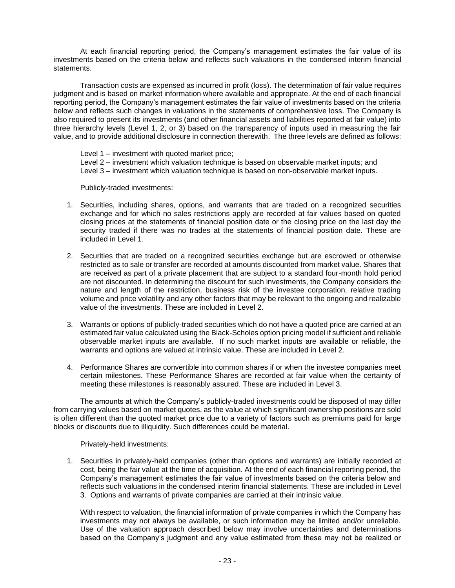At each financial reporting period, the Company's management estimates the fair value of its investments based on the criteria below and reflects such valuations in the condensed interim financial statements.

Transaction costs are expensed as incurred in profit (loss). The determination of fair value requires judgment and is based on market information where available and appropriate. At the end of each financial reporting period, the Company's management estimates the fair value of investments based on the criteria below and reflects such changes in valuations in the statements of comprehensive loss. The Company is also required to present its investments (and other financial assets and liabilities reported at fair value) into three hierarchy levels (Level 1, 2, or 3) based on the transparency of inputs used in measuring the fair value, and to provide additional disclosure in connection therewith. The three levels are defined as follows:

Level 1 – investment with quoted market price; Level 2 – investment which valuation technique is based on observable market inputs; and Level 3 – investment which valuation technique is based on non-observable market inputs.

Publicly-traded investments:

- 1. Securities, including shares, options, and warrants that are traded on a recognized securities exchange and for which no sales restrictions apply are recorded at fair values based on quoted closing prices at the statements of financial position date or the closing price on the last day the security traded if there was no trades at the statements of financial position date. These are included in Level 1.
- 2. Securities that are traded on a recognized securities exchange but are escrowed or otherwise restricted as to sale or transfer are recorded at amounts discounted from market value. Shares that are received as part of a private placement that are subject to a standard four-month hold period are not discounted. In determining the discount for such investments, the Company considers the nature and length of the restriction, business risk of the investee corporation, relative trading volume and price volatility and any other factors that may be relevant to the ongoing and realizable value of the investments. These are included in Level 2.
- 3. Warrants or options of publicly-traded securities which do not have a quoted price are carried at an estimated fair value calculated using the Black-Scholes option pricing model if sufficient and reliable observable market inputs are available. If no such market inputs are available or reliable, the warrants and options are valued at intrinsic value. These are included in Level 2.
- 4. Performance Shares are convertible into common shares if or when the investee companies meet certain milestones. These Performance Shares are recorded at fair value when the certainty of meeting these milestones is reasonably assured. These are included in Level 3.

The amounts at which the Company's publicly-traded investments could be disposed of may differ from carrying values based on market quotes, as the value at which significant ownership positions are sold is often different than the quoted market price due to a variety of factors such as premiums paid for large blocks or discounts due to illiquidity. Such differences could be material.

Privately-held investments:

1. Securities in privately-held companies (other than options and warrants) are initially recorded at cost, being the fair value at the time of acquisition. At the end of each financial reporting period, the Company's management estimates the fair value of investments based on the criteria below and reflects such valuations in the condensed interim financial statements. These are included in Level 3. Options and warrants of private companies are carried at their intrinsic value.

With respect to valuation, the financial information of private companies in which the Company has investments may not always be available, or such information may be limited and/or unreliable. Use of the valuation approach described below may involve uncertainties and determinations based on the Company's judgment and any value estimated from these may not be realized or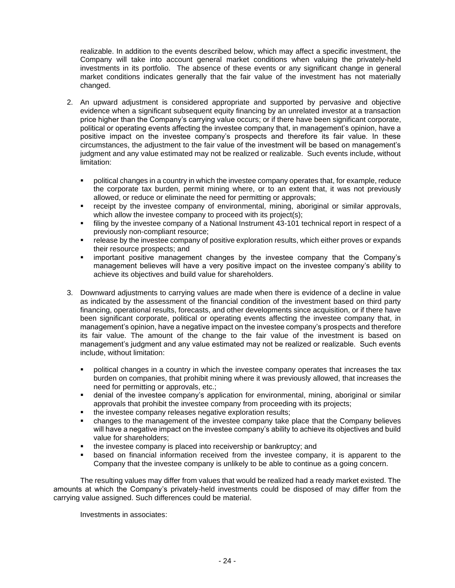realizable. In addition to the events described below, which may affect a specific investment, the Company will take into account general market conditions when valuing the privately-held investments in its portfolio. The absence of these events or any significant change in general market conditions indicates generally that the fair value of the investment has not materially changed.

- 2. An upward adjustment is considered appropriate and supported by pervasive and objective evidence when a significant subsequent equity financing by an unrelated investor at a transaction price higher than the Company's carrying value occurs; or if there have been significant corporate, political or operating events affecting the investee company that, in management's opinion, have a positive impact on the investee company's prospects and therefore its fair value. In these circumstances, the adjustment to the fair value of the investment will be based on management's judgment and any value estimated may not be realized or realizable. Such events include, without limitation:
	- political changes in a country in which the investee company operates that, for example, reduce the corporate tax burden, permit mining where, or to an extent that, it was not previously allowed, or reduce or eliminate the need for permitting or approvals;
	- **•** receipt by the investee company of environmental, mining, aboriginal or similar approvals, which allow the investee company to proceed with its project(s);
	- **•** filing by the investee company of a National Instrument 43-101 technical report in respect of a previously non-compliant resource;
	- **•** release by the investee company of positive exploration results, which either proves or expands their resource prospects; and
	- important positive management changes by the investee company that the Company's management believes will have a very positive impact on the investee company's ability to achieve its objectives and build value for shareholders.
- 3. Downward adjustments to carrying values are made when there is evidence of a decline in value as indicated by the assessment of the financial condition of the investment based on third party financing, operational results, forecasts, and other developments since acquisition, or if there have been significant corporate, political or operating events affecting the investee company that, in management's opinion, have a negative impact on the investee company's prospects and therefore its fair value. The amount of the change to the fair value of the investment is based on management's judgment and any value estimated may not be realized or realizable. Such events include, without limitation:
	- **•** political changes in a country in which the investee company operates that increases the tax burden on companies, that prohibit mining where it was previously allowed, that increases the need for permitting or approvals, etc.;
	- **•** denial of the investee company's application for environmental, mining, aboriginal or similar approvals that prohibit the investee company from proceeding with its projects;
	- the investee company releases negative exploration results;
	- changes to the management of the investee company take place that the Company believes will have a negative impact on the investee company's ability to achieve its objectives and build value for shareholders;
	- the investee company is placed into receivership or bankruptcy; and
	- based on financial information received from the investee company, it is apparent to the Company that the investee company is unlikely to be able to continue as a going concern.

The resulting values may differ from values that would be realized had a ready market existed. The amounts at which the Company's privately-held investments could be disposed of may differ from the carrying value assigned. Such differences could be material.

Investments in associates: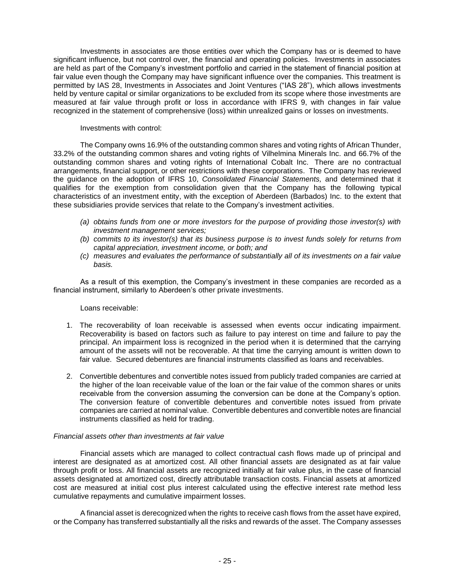Investments in associates are those entities over which the Company has or is deemed to have significant influence, but not control over, the financial and operating policies. Investments in associates are held as part of the Company's investment portfolio and carried in the statement of financial position at fair value even though the Company may have significant influence over the companies. This treatment is permitted by IAS 28, Investments in Associates and Joint Ventures ("IAS 28"), which allows investments held by venture capital or similar organizations to be excluded from its scope where those investments are measured at fair value through profit or loss in accordance with IFRS 9, with changes in fair value recognized in the statement of comprehensive (loss) within unrealized gains or losses on investments.

### Investments with control:

The Company owns 16.9% of the outstanding common shares and voting rights of African Thunder, 33.2% of the outstanding common shares and voting rights of Vilhelmina Minerals Inc. and 66.7% of the outstanding common shares and voting rights of International Cobalt Inc. There are no contractual arrangements, financial support, or other restrictions with these corporations. The Company has reviewed the guidance on the adoption of IFRS 10, *Consolidated Financial Statements,* and determined that it qualifies for the exemption from consolidation given that the Company has the following typical characteristics of an investment entity, with the exception of Aberdeen (Barbados) Inc. to the extent that these subsidiaries provide services that relate to the Company's investment activities.

- *(a) obtains funds from one or more investors for the purpose of providing those investor(s) with investment management services;*
- *(b) commits to its investor(s) that its business purpose is to invest funds solely for returns from capital appreciation, investment income, or both; and*
- *(c) measures and evaluates the performance of substantially all of its investments on a fair value basis.*

As a result of this exemption, the Company's investment in these companies are recorded as a financial instrument, similarly to Aberdeen's other private investments.

### Loans receivable:

- 1. The recoverability of loan receivable is assessed when events occur indicating impairment. Recoverability is based on factors such as failure to pay interest on time and failure to pay the principal. An impairment loss is recognized in the period when it is determined that the carrying amount of the assets will not be recoverable. At that time the carrying amount is written down to fair value. Secured debentures are financial instruments classified as loans and receivables.
- 2. Convertible debentures and convertible notes issued from publicly traded companies are carried at the higher of the loan receivable value of the loan or the fair value of the common shares or units receivable from the conversion assuming the conversion can be done at the Company's option. The conversion feature of convertible debentures and convertible notes issued from private companies are carried at nominal value. Convertible debentures and convertible notes are financial instruments classified as held for trading.

### *Financial assets other than investments at fair value*

Financial assets which are managed to collect contractual cash flows made up of principal and interest are designated as at amortized cost. All other financial assets are designated as at fair value through profit or loss. All financial assets are recognized initially at fair value plus, in the case of financial assets designated at amortized cost, directly attributable transaction costs. Financial assets at amortized cost are measured at initial cost plus interest calculated using the effective interest rate method less cumulative repayments and cumulative impairment losses.

A financial asset is derecognized when the rights to receive cash flows from the asset have expired, or the Company has transferred substantially all the risks and rewards of the asset. The Company assesses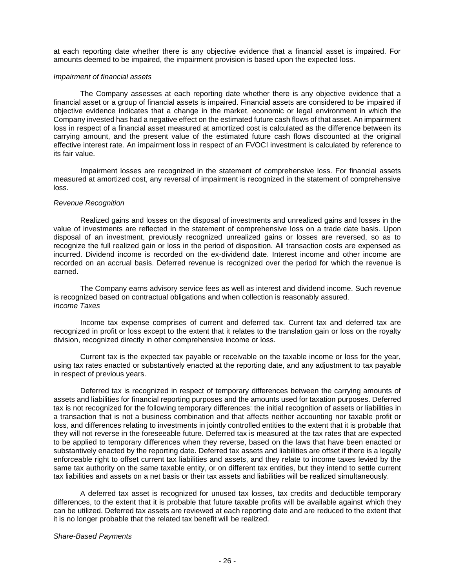at each reporting date whether there is any objective evidence that a financial asset is impaired. For amounts deemed to be impaired, the impairment provision is based upon the expected loss.

#### *Impairment of financial assets*

The Company assesses at each reporting date whether there is any objective evidence that a financial asset or a group of financial assets is impaired. Financial assets are considered to be impaired if objective evidence indicates that a change in the market, economic or legal environment in which the Company invested has had a negative effect on the estimated future cash flows of that asset. An impairment loss in respect of a financial asset measured at amortized cost is calculated as the difference between its carrying amount, and the present value of the estimated future cash flows discounted at the original effective interest rate. An impairment loss in respect of an FVOCI investment is calculated by reference to its fair value.

Impairment losses are recognized in the statement of comprehensive loss. For financial assets measured at amortized cost, any reversal of impairment is recognized in the statement of comprehensive loss.

#### *Revenue Recognition*

Realized gains and losses on the disposal of investments and unrealized gains and losses in the value of investments are reflected in the statement of comprehensive loss on a trade date basis. Upon disposal of an investment, previously recognized unrealized gains or losses are reversed, so as to recognize the full realized gain or loss in the period of disposition. All transaction costs are expensed as incurred. Dividend income is recorded on the ex-dividend date. Interest income and other income are recorded on an accrual basis. Deferred revenue is recognized over the period for which the revenue is earned.

The Company earns advisory service fees as well as interest and dividend income. Such revenue is recognized based on contractual obligations and when collection is reasonably assured. *Income Taxes*

Income tax expense comprises of current and deferred tax. Current tax and deferred tax are recognized in profit or loss except to the extent that it relates to the translation gain or loss on the royalty division, recognized directly in other comprehensive income or loss.

Current tax is the expected tax payable or receivable on the taxable income or loss for the year, using tax rates enacted or substantively enacted at the reporting date, and any adjustment to tax payable in respect of previous years.

Deferred tax is recognized in respect of temporary differences between the carrying amounts of assets and liabilities for financial reporting purposes and the amounts used for taxation purposes. Deferred tax is not recognized for the following temporary differences: the initial recognition of assets or liabilities in a transaction that is not a business combination and that affects neither accounting nor taxable profit or loss, and differences relating to investments in jointly controlled entities to the extent that it is probable that they will not reverse in the foreseeable future. Deferred tax is measured at the tax rates that are expected to be applied to temporary differences when they reverse, based on the laws that have been enacted or substantively enacted by the reporting date. Deferred tax assets and liabilities are offset if there is a legally enforceable right to offset current tax liabilities and assets, and they relate to income taxes levied by the same tax authority on the same taxable entity, or on different tax entities, but they intend to settle current tax liabilities and assets on a net basis or their tax assets and liabilities will be realized simultaneously.

A deferred tax asset is recognized for unused tax losses, tax credits and deductible temporary differences, to the extent that it is probable that future taxable profits will be available against which they can be utilized. Deferred tax assets are reviewed at each reporting date and are reduced to the extent that it is no longer probable that the related tax benefit will be realized.

#### *Share-Based Payments*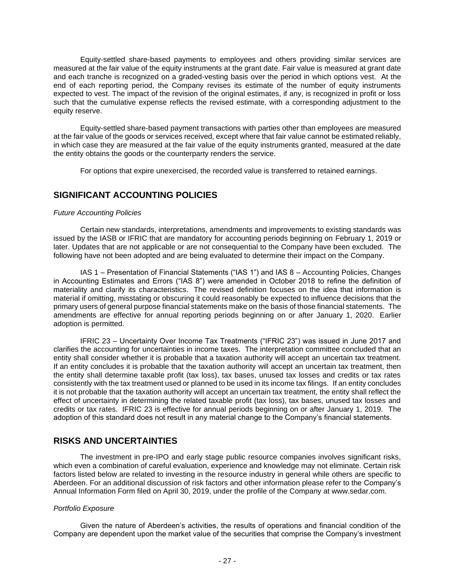Equity-settled share-based payments to employees and others providing similar services are measured at the fair value of the equity instruments at the grant date. Fair value is measured at grant date and each tranche is recognized on a graded-vesting basis over the period in which options vest. At the end of each reporting period, the Company revises its estimate of the number of equity instruments expected to vest. The impact of the revision of the original estimates, if any, is recognized in profit or loss such that the cumulative expense reflects the revised estimate, with a corresponding adjustment to the equity reserve.

Equity-settled share-based payment transactions with parties other than employees are measured at the fair value of the goods or services received, except where that fair value cannot be estimated reliably, in which case they are measured at the fair value of the equity instruments granted, measured at the date the entity obtains the goods or the counterparty renders the service.

For options that expire unexercised, the recorded value is transferred to retained earnings.

# **SIGNIFICANT ACCOUNTING POLICIES**

### *Future Accounting Policies*

Certain new standards, interpretations, amendments and improvements to existing standards was issued by the IASB or IFRIC that are mandatory for accounting periods beginning on February 1, 2019 or later. Updates that are not applicable or are not consequential to the Company have been excluded. The following have not been adopted and are being evaluated to determine their impact on the Company.

IAS 1 – Presentation of Financial Statements ("IAS 1") and IAS 8 – Accounting Policies, Changes in Accounting Estimates and Errors ("IAS 8") were amended in October 2018 to refine the definition of materiality and clarify its characteristics. The revised definition focuses on the idea that information is material if omitting, misstating or obscuring it could reasonably be expected to influence decisions that the primary users of general purpose financial statements make on the basis of those financial statements. The amendments are effective for annual reporting periods beginning on or after January 1, 2020. Earlier adoption is permitted.

IFRIC 23 – Uncertainty Over Income Tax Treatments ("IFRIC 23") was issued in June 2017 and clarifies the accounting for uncertainties in income taxes. The interpretation committee concluded that an entity shall consider whether it is probable that a taxation authority will accept an uncertain tax treatment. If an entity concludes it is probable that the taxation authority will accept an uncertain tax treatment, then the entity shall determine taxable profit (tax loss), tax bases, unused tax losses and credits or tax rates consistently with the tax treatment used or planned to be used in its income tax filings. If an entity concludes it is not probable that the taxation authority will accept an uncertain tax treatment, the entity shall reflect the effect of uncertainty in determining the related taxable profit (tax loss), tax bases, unused tax losses and credits or tax rates. IFRIC 23 is effective for annual periods beginning on or after January 1, 2019. The adoption of this standard does not result in any material change to the Company's financial statements.

# **RISKS AND UNCERTAINTIES**

The investment in pre-IPO and early stage public resource companies involves significant risks, which even a combination of careful evaluation, experience and knowledge may not eliminate. Certain risk factors listed below are related to investing in the resource industry in general while others are specific to Aberdeen. For an additional discussion of risk factors and other information please refer to the Company's Annual Information Form filed on April 30, 2019, under the profile of the Company at www.sedar.com.

### *Portfolio Exposure*

Given the nature of Aberdeen's activities, the results of operations and financial condition of the Company are dependent upon the market value of the securities that comprise the Company's investment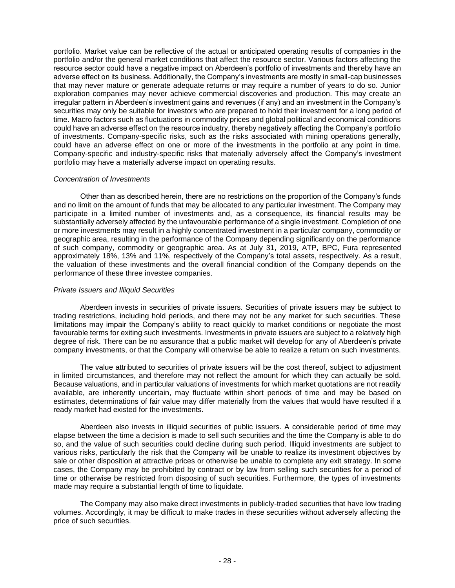portfolio. Market value can be reflective of the actual or anticipated operating results of companies in the portfolio and/or the general market conditions that affect the resource sector. Various factors affecting the resource sector could have a negative impact on Aberdeen's portfolio of investments and thereby have an adverse effect on its business. Additionally, the Company's investments are mostly in small-cap businesses that may never mature or generate adequate returns or may require a number of years to do so. Junior exploration companies may never achieve commercial discoveries and production. This may create an irregular pattern in Aberdeen's investment gains and revenues (if any) and an investment in the Company's securities may only be suitable for investors who are prepared to hold their investment for a long period of time. Macro factors such as fluctuations in commodity prices and global political and economical conditions could have an adverse effect on the resource industry, thereby negatively affecting the Company's portfolio of investments. Company-specific risks, such as the risks associated with mining operations generally, could have an adverse effect on one or more of the investments in the portfolio at any point in time. Company-specific and industry-specific risks that materially adversely affect the Company's investment portfolio may have a materially adverse impact on operating results.

## *Concentration of Investments*

Other than as described herein, there are no restrictions on the proportion of the Company's funds and no limit on the amount of funds that may be allocated to any particular investment. The Company may participate in a limited number of investments and, as a consequence, its financial results may be substantially adversely affected by the unfavourable performance of a single investment. Completion of one or more investments may result in a highly concentrated investment in a particular company, commodity or geographic area, resulting in the performance of the Company depending significantly on the performance of such company, commodity or geographic area. As at July 31, 2019, ATP, BPC, Fura represented approximately 18%, 13% and 11%, respectively of the Company's total assets, respectively. As a result, the valuation of these investments and the overall financial condition of the Company depends on the performance of these three investee companies.

# *Private Issuers and Illiquid Securities*

Aberdeen invests in securities of private issuers. Securities of private issuers may be subject to trading restrictions, including hold periods, and there may not be any market for such securities. These limitations may impair the Company's ability to react quickly to market conditions or negotiate the most favourable terms for exiting such investments. Investments in private issuers are subject to a relatively high degree of risk. There can be no assurance that a public market will develop for any of Aberdeen's private company investments, or that the Company will otherwise be able to realize a return on such investments.

The value attributed to securities of private issuers will be the cost thereof, subject to adjustment in limited circumstances, and therefore may not reflect the amount for which they can actually be sold. Because valuations, and in particular valuations of investments for which market quotations are not readily available, are inherently uncertain, may fluctuate within short periods of time and may be based on estimates, determinations of fair value may differ materially from the values that would have resulted if a ready market had existed for the investments.

Aberdeen also invests in illiquid securities of public issuers. A considerable period of time may elapse between the time a decision is made to sell such securities and the time the Company is able to do so, and the value of such securities could decline during such period. Illiquid investments are subject to various risks, particularly the risk that the Company will be unable to realize its investment objectives by sale or other disposition at attractive prices or otherwise be unable to complete any exit strategy. In some cases, the Company may be prohibited by contract or by law from selling such securities for a period of time or otherwise be restricted from disposing of such securities. Furthermore, the types of investments made may require a substantial length of time to liquidate.

The Company may also make direct investments in publicly-traded securities that have low trading volumes. Accordingly, it may be difficult to make trades in these securities without adversely affecting the price of such securities.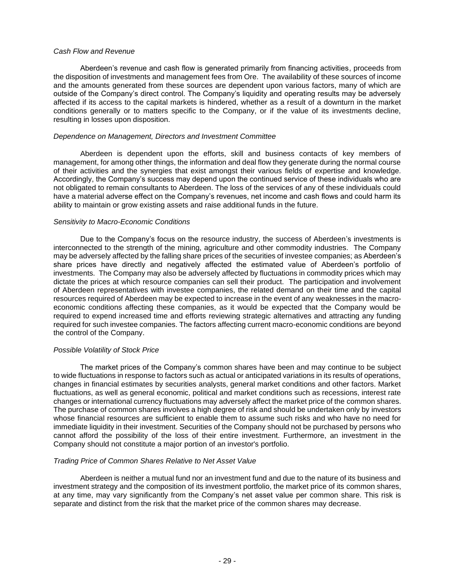#### *Cash Flow and Revenue*

Aberdeen's revenue and cash flow is generated primarily from financing activities, proceeds from the disposition of investments and management fees from Ore. The availability of these sources of income and the amounts generated from these sources are dependent upon various factors, many of which are outside of the Company's direct control. The Company's liquidity and operating results may be adversely affected if its access to the capital markets is hindered, whether as a result of a downturn in the market conditions generally or to matters specific to the Company, or if the value of its investments decline, resulting in losses upon disposition.

#### *Dependence on Management, Directors and Investment Committee*

Aberdeen is dependent upon the efforts, skill and business contacts of key members of management, for among other things, the information and deal flow they generate during the normal course of their activities and the synergies that exist amongst their various fields of expertise and knowledge. Accordingly, the Company's success may depend upon the continued service of these individuals who are not obligated to remain consultants to Aberdeen. The loss of the services of any of these individuals could have a material adverse effect on the Company's revenues, net income and cash flows and could harm its ability to maintain or grow existing assets and raise additional funds in the future.

#### *Sensitivity to Macro-Economic Conditions*

Due to the Company's focus on the resource industry, the success of Aberdeen's investments is interconnected to the strength of the mining, agriculture and other commodity industries. The Company may be adversely affected by the falling share prices of the securities of investee companies; as Aberdeen's share prices have directly and negatively affected the estimated value of Aberdeen's portfolio of investments. The Company may also be adversely affected by fluctuations in commodity prices which may dictate the prices at which resource companies can sell their product. The participation and involvement of Aberdeen representatives with investee companies, the related demand on their time and the capital resources required of Aberdeen may be expected to increase in the event of any weaknesses in the macroeconomic conditions affecting these companies, as it would be expected that the Company would be required to expend increased time and efforts reviewing strategic alternatives and attracting any funding required for such investee companies. The factors affecting current macro-economic conditions are beyond the control of the Company.

### *Possible Volatility of Stock Price*

The market prices of the Company's common shares have been and may continue to be subject to wide fluctuations in response to factors such as actual or anticipated variations in its results of operations, changes in financial estimates by securities analysts, general market conditions and other factors. Market fluctuations, as well as general economic, political and market conditions such as recessions, interest rate changes or international currency fluctuations may adversely affect the market price of the common shares. The purchase of common shares involves a high degree of risk and should be undertaken only by investors whose financial resources are sufficient to enable them to assume such risks and who have no need for immediate liquidity in their investment. Securities of the Company should not be purchased by persons who cannot afford the possibility of the loss of their entire investment. Furthermore, an investment in the Company should not constitute a major portion of an investor's portfolio.

## *Trading Price of Common Shares Relative to Net Asset Value*

Aberdeen is neither a mutual fund nor an investment fund and due to the nature of its business and investment strategy and the composition of its investment portfolio, the market price of its common shares, at any time, may vary significantly from the Company's net asset value per common share. This risk is separate and distinct from the risk that the market price of the common shares may decrease.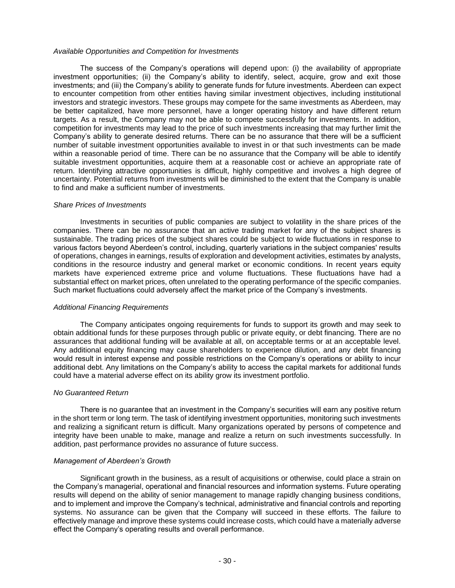#### *Available Opportunities and Competition for Investments*

The success of the Company's operations will depend upon: (i) the availability of appropriate investment opportunities; (ii) the Company's ability to identify, select, acquire, grow and exit those investments; and (iii) the Company's ability to generate funds for future investments. Aberdeen can expect to encounter competition from other entities having similar investment objectives, including institutional investors and strategic investors. These groups may compete for the same investments as Aberdeen, may be better capitalized, have more personnel, have a longer operating history and have different return targets. As a result, the Company may not be able to compete successfully for investments. In addition, competition for investments may lead to the price of such investments increasing that may further limit the Company's ability to generate desired returns. There can be no assurance that there will be a sufficient number of suitable investment opportunities available to invest in or that such investments can be made within a reasonable period of time. There can be no assurance that the Company will be able to identify suitable investment opportunities, acquire them at a reasonable cost or achieve an appropriate rate of return. Identifying attractive opportunities is difficult, highly competitive and involves a high degree of uncertainty. Potential returns from investments will be diminished to the extent that the Company is unable to find and make a sufficient number of investments.

#### *Share Prices of Investments*

Investments in securities of public companies are subject to volatility in the share prices of the companies. There can be no assurance that an active trading market for any of the subject shares is sustainable. The trading prices of the subject shares could be subject to wide fluctuations in response to various factors beyond Aberdeen's control, including, quarterly variations in the subject companies' results of operations, changes in earnings, results of exploration and development activities, estimates by analysts, conditions in the resource industry and general market or economic conditions. In recent years equity markets have experienced extreme price and volume fluctuations. These fluctuations have had a substantial effect on market prices, often unrelated to the operating performance of the specific companies. Such market fluctuations could adversely affect the market price of the Company's investments.

#### *Additional Financing Requirements*

The Company anticipates ongoing requirements for funds to support its growth and may seek to obtain additional funds for these purposes through public or private equity, or debt financing. There are no assurances that additional funding will be available at all, on acceptable terms or at an acceptable level. Any additional equity financing may cause shareholders to experience dilution, and any debt financing would result in interest expense and possible restrictions on the Company's operations or ability to incur additional debt. Any limitations on the Company's ability to access the capital markets for additional funds could have a material adverse effect on its ability grow its investment portfolio.

#### *No Guaranteed Return*

There is no guarantee that an investment in the Company's securities will earn any positive return in the short term or long term. The task of identifying investment opportunities, monitoring such investments and realizing a significant return is difficult. Many organizations operated by persons of competence and integrity have been unable to make, manage and realize a return on such investments successfully. In addition, past performance provides no assurance of future success.

### *Management of Aberdeen's Growth*

Significant growth in the business, as a result of acquisitions or otherwise, could place a strain on the Company's managerial, operational and financial resources and information systems. Future operating results will depend on the ability of senior management to manage rapidly changing business conditions, and to implement and improve the Company's technical, administrative and financial controls and reporting systems. No assurance can be given that the Company will succeed in these efforts. The failure to effectively manage and improve these systems could increase costs, which could have a materially adverse effect the Company's operating results and overall performance.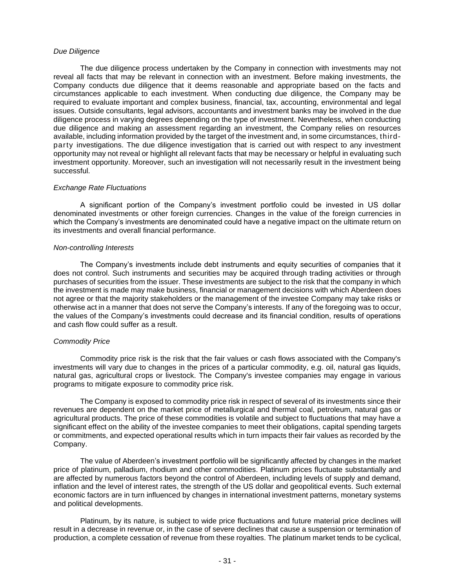#### *Due Diligence*

The due diligence process undertaken by the Company in connection with investments may not reveal all facts that may be relevant in connection with an investment. Before making investments, the Company conducts due diligence that it deems reasonable and appropriate based on the facts and circumstances applicable to each investment. When conducting due diligence, the Company may be required to evaluate important and complex business, financial, tax, accounting, environmental and legal issues. Outside consultants, legal advisors, accountants and investment banks may be involved in the due diligence process in varying degrees depending on the type of investment. Nevertheless, when conducting due diligence and making an assessment regarding an investment, the Company relies on resources available, including information provided by the target of the investment and, in some circumstances, thirdparty investigations. The due diligence investigation that is carried out with respect to any investment opportunity may not reveal or highlight all relevant facts that may be necessary or helpful in evaluating such investment opportunity. Moreover, such an investigation will not necessarily result in the investment being successful.

#### *Exchange Rate Fluctuations*

A significant portion of the Company's investment portfolio could be invested in US dollar denominated investments or other foreign currencies. Changes in the value of the foreign currencies in which the Company's investments are denominated could have a negative impact on the ultimate return on its investments and overall financial performance.

#### *Non-controlling Interests*

The Company's investments include debt instruments and equity securities of companies that it does not control. Such instruments and securities may be acquired through trading activities or through purchases of securities from the issuer. These investments are subject to the risk that the company in which the investment is made may make business, financial or management decisions with which Aberdeen does not agree or that the majority stakeholders or the management of the investee Company may take risks or otherwise act in a manner that does not serve the Company's interests. If any of the foregoing was to occur, the values of the Company's investments could decrease and its financial condition, results of operations and cash flow could suffer as a result.

### *Commodity Price*

Commodity price risk is the risk that the fair values or cash flows associated with the Company's investments will vary due to changes in the prices of a particular commodity, e.g. oil, natural gas liquids, natural gas, agricultural crops or livestock. The Company's investee companies may engage in various programs to mitigate exposure to commodity price risk.

The Company is exposed to commodity price risk in respect of several of its investments since their revenues are dependent on the market price of metallurgical and thermal coal, petroleum, natural gas or agricultural products. The price of these commodities is volatile and subject to fluctuations that may have a significant effect on the ability of the investee companies to meet their obligations, capital spending targets or commitments, and expected operational results which in turn impacts their fair values as recorded by the Company.

The value of Aberdeen's investment portfolio will be significantly affected by changes in the market price of platinum, palladium, rhodium and other commodities. Platinum prices fluctuate substantially and are affected by numerous factors beyond the control of Aberdeen, including levels of supply and demand, inflation and the level of interest rates, the strength of the US dollar and geopolitical events. Such external economic factors are in turn influenced by changes in international investment patterns, monetary systems and political developments.

Platinum, by its nature, is subject to wide price fluctuations and future material price declines will result in a decrease in revenue or, in the case of severe declines that cause a suspension or termination of production, a complete cessation of revenue from these royalties. The platinum market tends to be cyclical,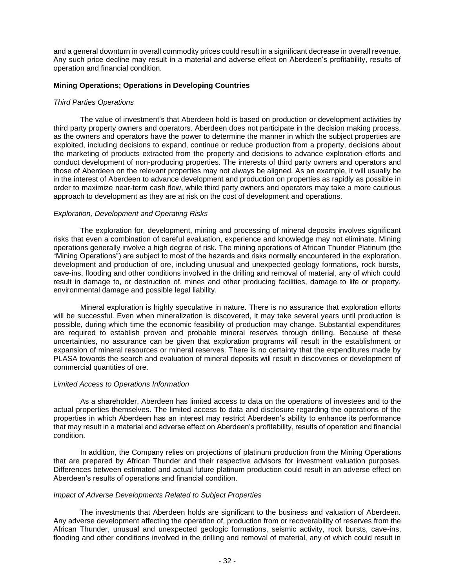and a general downturn in overall commodity prices could result in a significant decrease in overall revenue. Any such price decline may result in a material and adverse effect on Aberdeen's profitability, results of operation and financial condition.

## **Mining Operations; Operations in Developing Countries**

### *Third Parties Operations*

The value of investment's that Aberdeen hold is based on production or development activities by third party property owners and operators. Aberdeen does not participate in the decision making process, as the owners and operators have the power to determine the manner in which the subject properties are exploited, including decisions to expand, continue or reduce production from a property, decisions about the marketing of products extracted from the property and decisions to advance exploration efforts and conduct development of non-producing properties. The interests of third party owners and operators and those of Aberdeen on the relevant properties may not always be aligned. As an example, it will usually be in the interest of Aberdeen to advance development and production on properties as rapidly as possible in order to maximize near-term cash flow, while third party owners and operators may take a more cautious approach to development as they are at risk on the cost of development and operations.

## *Exploration, Development and Operating Risks*

The exploration for, development, mining and processing of mineral deposits involves significant risks that even a combination of careful evaluation, experience and knowledge may not eliminate. Mining operations generally involve a high degree of risk. The mining operations of African Thunder Platinum (the "Mining Operations") are subject to most of the hazards and risks normally encountered in the exploration, development and production of ore, including unusual and unexpected geology formations, rock bursts, cave-ins, flooding and other conditions involved in the drilling and removal of material, any of which could result in damage to, or destruction of, mines and other producing facilities, damage to life or property, environmental damage and possible legal liability.

Mineral exploration is highly speculative in nature. There is no assurance that exploration efforts will be successful. Even when mineralization is discovered, it may take several years until production is possible, during which time the economic feasibility of production may change. Substantial expenditures are required to establish proven and probable mineral reserves through drilling. Because of these uncertainties, no assurance can be given that exploration programs will result in the establishment or expansion of mineral resources or mineral reserves. There is no certainty that the expenditures made by PLASA towards the search and evaluation of mineral deposits will result in discoveries or development of commercial quantities of ore.

### *Limited Access to Operations Information*

As a shareholder, Aberdeen has limited access to data on the operations of investees and to the actual properties themselves. The limited access to data and disclosure regarding the operations of the properties in which Aberdeen has an interest may restrict Aberdeen's ability to enhance its performance that may result in a material and adverse effect on Aberdeen's profitability, results of operation and financial condition.

In addition, the Company relies on projections of platinum production from the Mining Operations that are prepared by African Thunder and their respective advisors for investment valuation purposes. Differences between estimated and actual future platinum production could result in an adverse effect on Aberdeen's results of operations and financial condition.

### *Impact of Adverse Developments Related to Subject Properties*

The investments that Aberdeen holds are significant to the business and valuation of Aberdeen. Any adverse development affecting the operation of, production from or recoverability of reserves from the African Thunder, unusual and unexpected geologic formations, seismic activity, rock bursts, cave-ins, flooding and other conditions involved in the drilling and removal of material, any of which could result in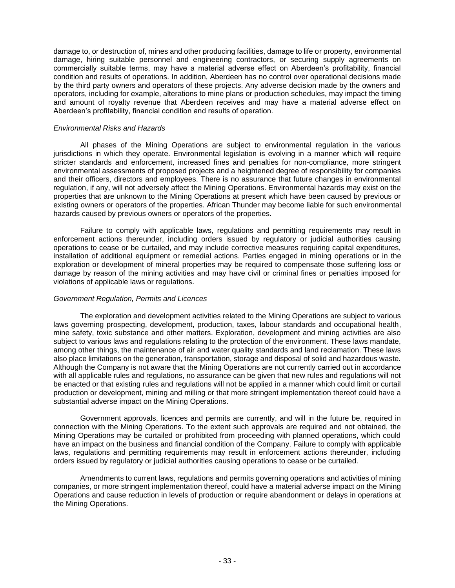damage to, or destruction of, mines and other producing facilities, damage to life or property, environmental damage, hiring suitable personnel and engineering contractors, or securing supply agreements on commercially suitable terms, may have a material adverse effect on Aberdeen's profitability, financial condition and results of operations. In addition, Aberdeen has no control over operational decisions made by the third party owners and operators of these projects. Any adverse decision made by the owners and operators, including for example, alterations to mine plans or production schedules, may impact the timing and amount of royalty revenue that Aberdeen receives and may have a material adverse effect on Aberdeen's profitability, financial condition and results of operation.

### *Environmental Risks and Hazards*

All phases of the Mining Operations are subject to environmental regulation in the various jurisdictions in which they operate. Environmental legislation is evolving in a manner which will require stricter standards and enforcement, increased fines and penalties for non-compliance, more stringent environmental assessments of proposed projects and a heightened degree of responsibility for companies and their officers, directors and employees. There is no assurance that future changes in environmental regulation, if any, will not adversely affect the Mining Operations. Environmental hazards may exist on the properties that are unknown to the Mining Operations at present which have been caused by previous or existing owners or operators of the properties. African Thunder may become liable for such environmental hazards caused by previous owners or operators of the properties.

Failure to comply with applicable laws, regulations and permitting requirements may result in enforcement actions thereunder, including orders issued by regulatory or judicial authorities causing operations to cease or be curtailed, and may include corrective measures requiring capital expenditures, installation of additional equipment or remedial actions. Parties engaged in mining operations or in the exploration or development of mineral properties may be required to compensate those suffering loss or damage by reason of the mining activities and may have civil or criminal fines or penalties imposed for violations of applicable laws or regulations.

### *Government Regulation, Permits and Licences*

The exploration and development activities related to the Mining Operations are subject to various laws governing prospecting, development, production, taxes, labour standards and occupational health, mine safety, toxic substance and other matters. Exploration, development and mining activities are also subject to various laws and regulations relating to the protection of the environment. These laws mandate, among other things, the maintenance of air and water quality standards and land reclamation. These laws also place limitations on the generation, transportation, storage and disposal of solid and hazardous waste. Although the Company is not aware that the Mining Operations are not currently carried out in accordance with all applicable rules and regulations, no assurance can be given that new rules and regulations will not be enacted or that existing rules and regulations will not be applied in a manner which could limit or curtail production or development, mining and milling or that more stringent implementation thereof could have a substantial adverse impact on the Mining Operations.

Government approvals, licences and permits are currently, and will in the future be, required in connection with the Mining Operations. To the extent such approvals are required and not obtained, the Mining Operations may be curtailed or prohibited from proceeding with planned operations, which could have an impact on the business and financial condition of the Company. Failure to comply with applicable laws, regulations and permitting requirements may result in enforcement actions thereunder, including orders issued by regulatory or judicial authorities causing operations to cease or be curtailed.

Amendments to current laws, regulations and permits governing operations and activities of mining companies, or more stringent implementation thereof, could have a material adverse impact on the Mining Operations and cause reduction in levels of production or require abandonment or delays in operations at the Mining Operations.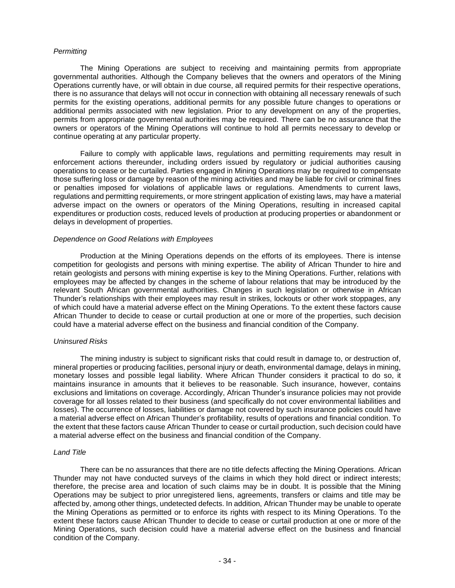#### *Permitting*

The Mining Operations are subject to receiving and maintaining permits from appropriate governmental authorities. Although the Company believes that the owners and operators of the Mining Operations currently have, or will obtain in due course, all required permits for their respective operations, there is no assurance that delays will not occur in connection with obtaining all necessary renewals of such permits for the existing operations, additional permits for any possible future changes to operations or additional permits associated with new legislation. Prior to any development on any of the properties, permits from appropriate governmental authorities may be required. There can be no assurance that the owners or operators of the Mining Operations will continue to hold all permits necessary to develop or continue operating at any particular property.

Failure to comply with applicable laws, regulations and permitting requirements may result in enforcement actions thereunder, including orders issued by regulatory or judicial authorities causing operations to cease or be curtailed. Parties engaged in Mining Operations may be required to compensate those suffering loss or damage by reason of the mining activities and may be liable for civil or criminal fines or penalties imposed for violations of applicable laws or regulations. Amendments to current laws, regulations and permitting requirements, or more stringent application of existing laws, may have a material adverse impact on the owners or operators of the Mining Operations, resulting in increased capital expenditures or production costs, reduced levels of production at producing properties or abandonment or delays in development of properties.

#### *Dependence on Good Relations with Employees*

Production at the Mining Operations depends on the efforts of its employees. There is intense competition for geologists and persons with mining expertise. The ability of African Thunder to hire and retain geologists and persons with mining expertise is key to the Mining Operations. Further, relations with employees may be affected by changes in the scheme of labour relations that may be introduced by the relevant South African governmental authorities. Changes in such legislation or otherwise in African Thunder's relationships with their employees may result in strikes, lockouts or other work stoppages, any of which could have a material adverse effect on the Mining Operations. To the extent these factors cause African Thunder to decide to cease or curtail production at one or more of the properties, such decision could have a material adverse effect on the business and financial condition of the Company.

### *Uninsured Risks*

The mining industry is subject to significant risks that could result in damage to, or destruction of, mineral properties or producing facilities, personal injury or death, environmental damage, delays in mining, monetary losses and possible legal liability. Where African Thunder considers it practical to do so, it maintains insurance in amounts that it believes to be reasonable. Such insurance, however, contains exclusions and limitations on coverage. Accordingly, African Thunder's insurance policies may not provide coverage for all losses related to their business (and specifically do not cover environmental liabilities and losses). The occurrence of losses, liabilities or damage not covered by such insurance policies could have a material adverse effect on African Thunder's profitability, results of operations and financial condition. To the extent that these factors cause African Thunder to cease or curtail production, such decision could have a material adverse effect on the business and financial condition of the Company.

#### *Land Title*

There can be no assurances that there are no title defects affecting the Mining Operations. African Thunder may not have conducted surveys of the claims in which they hold direct or indirect interests; therefore, the precise area and location of such claims may be in doubt. It is possible that the Mining Operations may be subject to prior unregistered liens, agreements, transfers or claims and title may be affected by, among other things, undetected defects. In addition, African Thunder may be unable to operate the Mining Operations as permitted or to enforce its rights with respect to its Mining Operations. To the extent these factors cause African Thunder to decide to cease or curtail production at one or more of the Mining Operations, such decision could have a material adverse effect on the business and financial condition of the Company.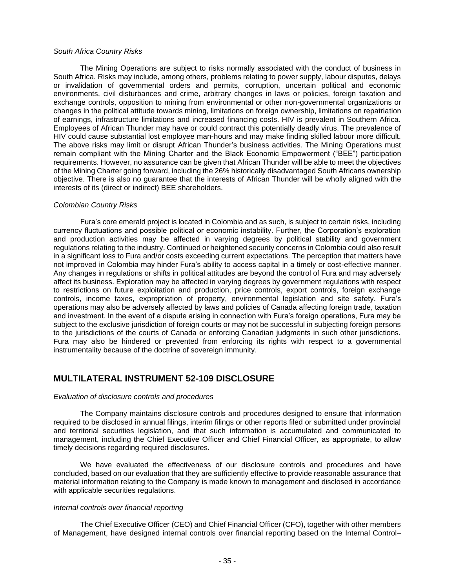#### *South Africa Country Risks*

 The Mining Operations are subject to risks normally associated with the conduct of business in South Africa. Risks may include, among others, problems relating to power supply, labour disputes, delays or invalidation of governmental orders and permits, corruption, uncertain political and economic environments, civil disturbances and crime, arbitrary changes in laws or policies, foreign taxation and exchange controls, opposition to mining from environmental or other non-governmental organizations or changes in the political attitude towards mining, limitations on foreign ownership, limitations on repatriation of earnings, infrastructure limitations and increased financing costs. HIV is prevalent in Southern Africa. Employees of African Thunder may have or could contract this potentially deadly virus. The prevalence of HIV could cause substantial lost employee man-hours and may make finding skilled labour more difficult. The above risks may limit or disrupt African Thunder's business activities. The Mining Operations must remain compliant with the Mining Charter and the Black Economic Empowerment ("BEE") participation requirements. However, no assurance can be given that African Thunder will be able to meet the objectives of the Mining Charter going forward, including the 26% historically disadvantaged South Africans ownership objective. There is also no guarantee that the interests of African Thunder will be wholly aligned with the interests of its (direct or indirect) BEE shareholders.

#### *Colombian Country Risks*

Fura's core emerald project is located in Colombia and as such, is subject to certain risks, including currency fluctuations and possible political or economic instability. Further, the Corporation's exploration and production activities may be affected in varying degrees by political stability and government regulations relating to the industry. Continued or heightened security concerns in Colombia could also result in a significant loss to Fura and/or costs exceeding current expectations. The perception that matters have not improved in Colombia may hinder Fura's ability to access capital in a timely or cost-effective manner. Any changes in regulations or shifts in political attitudes are beyond the control of Fura and may adversely affect its business. Exploration may be affected in varying degrees by government regulations with respect to restrictions on future exploitation and production, price controls, export controls, foreign exchange controls, income taxes, expropriation of property, environmental legislation and site safety. Fura's operations may also be adversely affected by laws and policies of Canada affecting foreign trade, taxation and investment. In the event of a dispute arising in connection with Fura's foreign operations, Fura may be subject to the exclusive jurisdiction of foreign courts or may not be successful in subjecting foreign persons to the jurisdictions of the courts of Canada or enforcing Canadian judgments in such other jurisdictions. Fura may also be hindered or prevented from enforcing its rights with respect to a governmental instrumentality because of the doctrine of sovereign immunity.

# **MULTILATERAL INSTRUMENT 52-109 DISCLOSURE**

#### *Evaluation of disclosure controls and procedures*

The Company maintains disclosure controls and procedures designed to ensure that information required to be disclosed in annual filings, interim filings or other reports filed or submitted under provincial and territorial securities legislation, and that such information is accumulated and communicated to management, including the Chief Executive Officer and Chief Financial Officer, as appropriate, to allow timely decisions regarding required disclosures.

We have evaluated the effectiveness of our disclosure controls and procedures and have concluded, based on our evaluation that they are sufficiently effective to provide reasonable assurance that material information relating to the Company is made known to management and disclosed in accordance with applicable securities regulations.

### *Internal controls over financial reporting*

The Chief Executive Officer (CEO) and Chief Financial Officer (CFO), together with other members of Management, have designed internal controls over financial reporting based on the Internal Control–